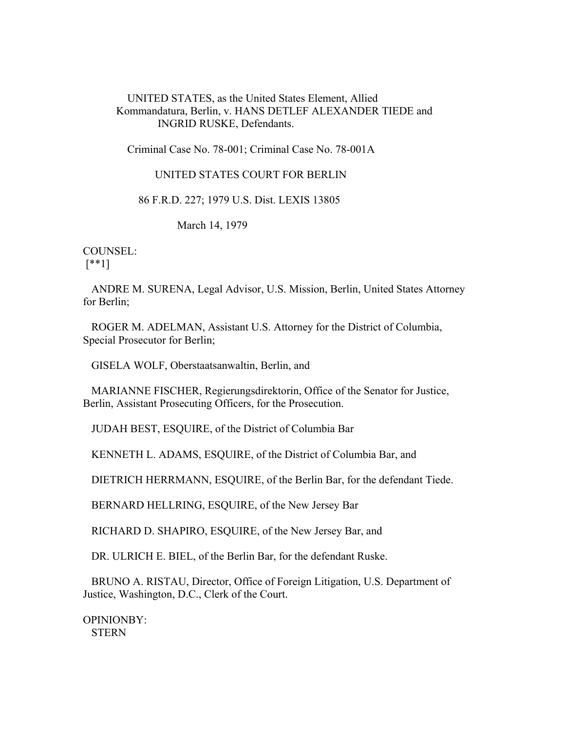# UNITED STATES, as the United States Element, Allied Kommandatura, Berlin, v. HANS DETLEF ALEXANDER TIEDE and INGRID RUSKE, Defendants.

Criminal Case No. 78-001; Criminal Case No. 78-001A

# UNITED STATES COURT FOR BERLIN

86 F.R.D. 227; 1979 U.S. Dist. LEXIS 13805

March 14, 1979

COUNSEL: [\*\*1]

 ANDRE M. SURENA, Legal Advisor, U.S. Mission, Berlin, United States Attorney for Berlin;

 ROGER M. ADELMAN, Assistant U.S. Attorney for the District of Columbia, Special Prosecutor for Berlin;

GISELA WOLF, Oberstaatsanwaltin, Berlin, and

 MARIANNE FISCHER, Regierungsdirektorin, Office of the Senator for Justice, Berlin, Assistant Prosecuting Officers, for the Prosecution.

JUDAH BEST, ESQUIRE, of the District of Columbia Bar

KENNETH L. ADAMS, ESQUIRE, of the District of Columbia Bar, and

DIETRICH HERRMANN, ESQUIRE, of the Berlin Bar, for the defendant Tiede.

BERNARD HELLRING, ESQUIRE, of the New Jersey Bar

RICHARD D. SHAPIRO, ESQUIRE, of the New Jersey Bar, and

DR. ULRICH E. BIEL, of the Berlin Bar, for the defendant Ruske.

 BRUNO A. RISTAU, Director, Office of Foreign Litigation, U.S. Department of Justice, Washington, D.C., Clerk of the Court.

OPINIONBY: **STERN**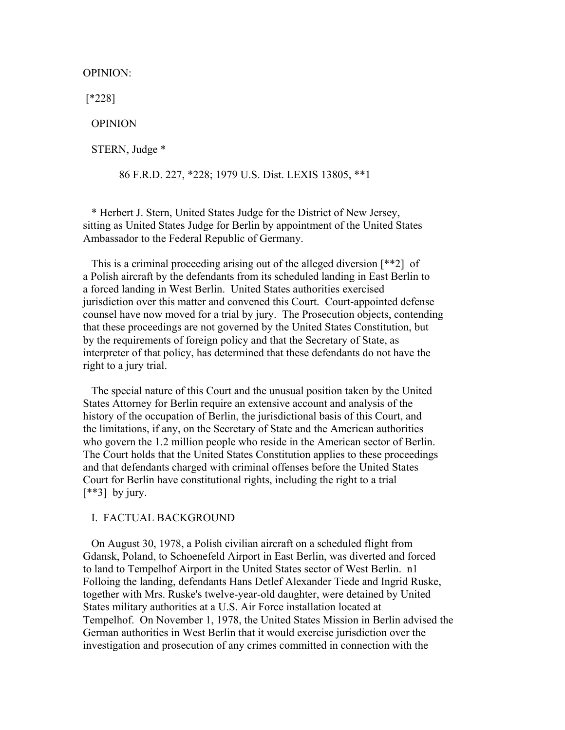OPINION:

[\*228]

OPINION

STERN, Judge \*

86 F.R.D. 227, \*228; 1979 U.S. Dist. LEXIS 13805, \*\*1

 \* Herbert J. Stern, United States Judge for the District of New Jersey, sitting as United States Judge for Berlin by appointment of the United States Ambassador to the Federal Republic of Germany.

 This is a criminal proceeding arising out of the alleged diversion [\*\*2] of a Polish aircraft by the defendants from its scheduled landing in East Berlin to a forced landing in West Berlin. United States authorities exercised jurisdiction over this matter and convened this Court. Court-appointed defense counsel have now moved for a trial by jury. The Prosecution objects, contending that these proceedings are not governed by the United States Constitution, but by the requirements of foreign policy and that the Secretary of State, as interpreter of that policy, has determined that these defendants do not have the right to a jury trial.

 The special nature of this Court and the unusual position taken by the United States Attorney for Berlin require an extensive account and analysis of the history of the occupation of Berlin, the jurisdictional basis of this Court, and the limitations, if any, on the Secretary of State and the American authorities who govern the 1.2 million people who reside in the American sector of Berlin. The Court holds that the United States Constitution applies to these proceedings and that defendants charged with criminal offenses before the United States Court for Berlin have constitutional rights, including the right to a trial  $[**3]$  by jury.

### I. FACTUAL BACKGROUND

 On August 30, 1978, a Polish civilian aircraft on a scheduled flight from Gdansk, Poland, to Schoenefeld Airport in East Berlin, was diverted and forced to land to Tempelhof Airport in the United States sector of West Berlin. n1 Folloing the landing, defendants Hans Detlef Alexander Tiede and Ingrid Ruske, together with Mrs. Ruske's twelve-year-old daughter, were detained by United States military authorities at a U.S. Air Force installation located at Tempelhof. On November 1, 1978, the United States Mission in Berlin advised the German authorities in West Berlin that it would exercise jurisdiction over the investigation and prosecution of any crimes committed in connection with the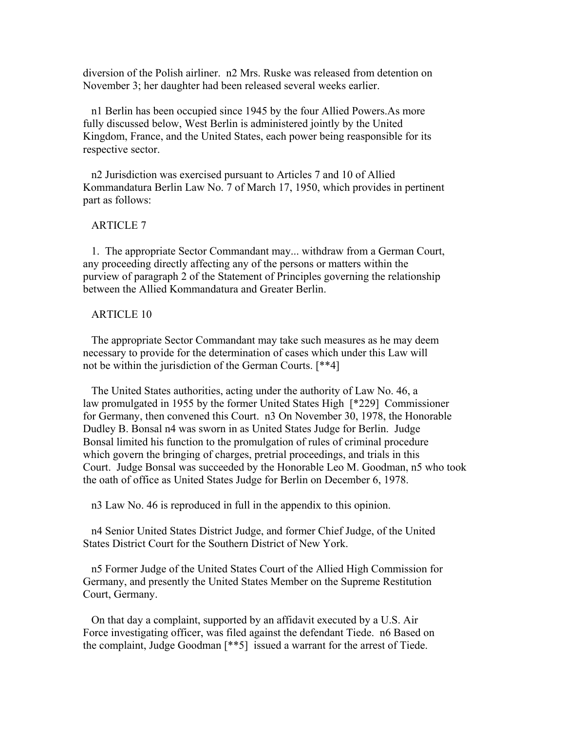diversion of the Polish airliner. n2 Mrs. Ruske was released from detention on November 3; her daughter had been released several weeks earlier.

 n1 Berlin has been occupied since 1945 by the four Allied Powers.As more fully discussed below, West Berlin is administered jointly by the United Kingdom, France, and the United States, each power being reasponsible for its respective sector.

 n2 Jurisdiction was exercised pursuant to Articles 7 and 10 of Allied Kommandatura Berlin Law No. 7 of March 17, 1950, which provides in pertinent part as follows:

#### ARTICLE 7

 1. The appropriate Sector Commandant may... withdraw from a German Court, any proceeding directly affecting any of the persons or matters within the purview of paragraph 2 of the Statement of Principles governing the relationship between the Allied Kommandatura and Greater Berlin.

## ARTICLE 10

 The appropriate Sector Commandant may take such measures as he may deem necessary to provide for the determination of cases which under this Law will not be within the jurisdiction of the German Courts. [\*\*4]

 The United States authorities, acting under the authority of Law No. 46, a law promulgated in 1955 by the former United States High [\*229] Commissioner for Germany, then convened this Court. n3 On November 30, 1978, the Honorable Dudley B. Bonsal n4 was sworn in as United States Judge for Berlin. Judge Bonsal limited his function to the promulgation of rules of criminal procedure which govern the bringing of charges, pretrial proceedings, and trials in this Court. Judge Bonsal was succeeded by the Honorable Leo M. Goodman, n5 who took the oath of office as United States Judge for Berlin on December 6, 1978.

n3 Law No. 46 is reproduced in full in the appendix to this opinion.

 n4 Senior United States District Judge, and former Chief Judge, of the United States District Court for the Southern District of New York.

 n5 Former Judge of the United States Court of the Allied High Commission for Germany, and presently the United States Member on the Supreme Restitution Court, Germany.

 On that day a complaint, supported by an affidavit executed by a U.S. Air Force investigating officer, was filed against the defendant Tiede. n6 Based on the complaint, Judge Goodman [\*\*5] issued a warrant for the arrest of Tiede.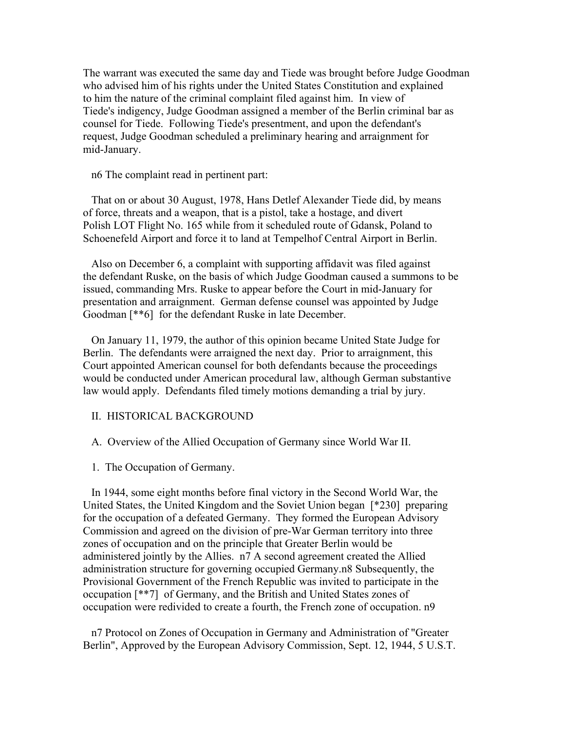The warrant was executed the same day and Tiede was brought before Judge Goodman who advised him of his rights under the United States Constitution and explained to him the nature of the criminal complaint filed against him. In view of Tiede's indigency, Judge Goodman assigned a member of the Berlin criminal bar as counsel for Tiede. Following Tiede's presentment, and upon the defendant's request, Judge Goodman scheduled a preliminary hearing and arraignment for mid-January.

n6 The complaint read in pertinent part:

 That on or about 30 August, 1978, Hans Detlef Alexander Tiede did, by means of force, threats and a weapon, that is a pistol, take a hostage, and divert Polish LOT Flight No. 165 while from it scheduled route of Gdansk, Poland to Schoenefeld Airport and force it to land at Tempelhof Central Airport in Berlin.

 Also on December 6, a complaint with supporting affidavit was filed against the defendant Ruske, on the basis of which Judge Goodman caused a summons to be issued, commanding Mrs. Ruske to appear before the Court in mid-January for presentation and arraignment. German defense counsel was appointed by Judge Goodman [\*\*6] for the defendant Ruske in late December.

 On January 11, 1979, the author of this opinion became United State Judge for Berlin. The defendants were arraigned the next day. Prior to arraignment, this Court appointed American counsel for both defendants because the proceedings would be conducted under American procedural law, although German substantive law would apply. Defendants filed timely motions demanding a trial by jury.

### II. HISTORICAL BACKGROUND

- A. Overview of the Allied Occupation of Germany since World War II.
- 1. The Occupation of Germany.

 In 1944, some eight months before final victory in the Second World War, the United States, the United Kingdom and the Soviet Union began [\*230] preparing for the occupation of a defeated Germany. They formed the European Advisory Commission and agreed on the division of pre-War German territory into three zones of occupation and on the principle that Greater Berlin would be administered jointly by the Allies. n7 A second agreement created the Allied administration structure for governing occupied Germany.n8 Subsequently, the Provisional Government of the French Republic was invited to participate in the occupation [\*\*7] of Germany, and the British and United States zones of occupation were redivided to create a fourth, the French zone of occupation. n9

 n7 Protocol on Zones of Occupation in Germany and Administration of "Greater Berlin", Approved by the European Advisory Commission, Sept. 12, 1944, 5 U.S.T.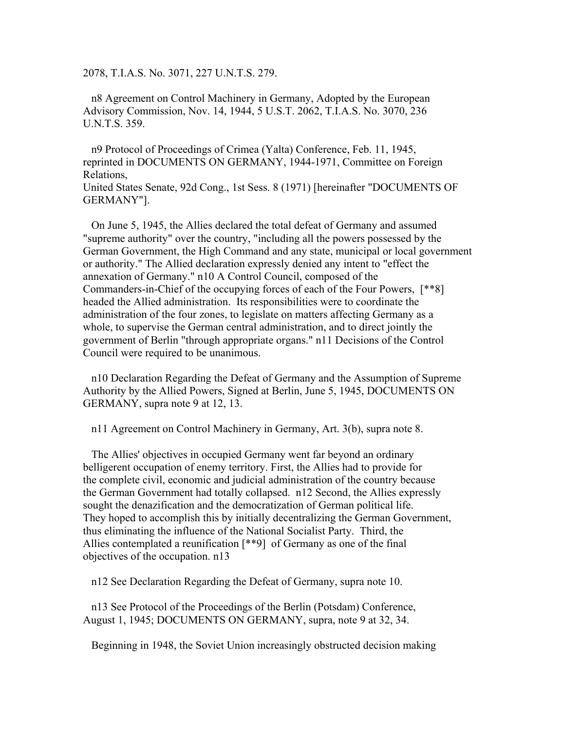2078, T.I.A.S. No. 3071, 227 U.N.T.S. 279.

 n8 Agreement on Control Machinery in Germany, Adopted by the European Advisory Commission, Nov. 14, 1944, 5 U.S.T. 2062, T.I.A.S. No. 3070, 236 U.N.T.S. 359.

 n9 Protocol of Proceedings of Crimea (Yalta) Conference, Feb. 11, 1945, reprinted in DOCUMENTS ON GERMANY, 1944-1971, Committee on Foreign Relations, United States Senate, 92d Cong., 1st Sess. 8 (1971) [hereinafter "DOCUMENTS OF GERMANY"].

 On June 5, 1945, the Allies declared the total defeat of Germany and assumed "supreme authority" over the country, "including all the powers possessed by the German Government, the High Command and any state, municipal or local government or authority." The Allied declaration expressly denied any intent to "effect the annexation of Germany." n10 A Control Council, composed of the Commanders-in-Chief of the occupying forces of each of the Four Powers, [\*\*8] headed the Allied administration. Its responsibilities were to coordinate the administration of the four zones, to legislate on matters affecting Germany as a whole, to supervise the German central administration, and to direct jointly the government of Berlin "through appropriate organs." n11 Decisions of the Control Council were required to be unanimous.

 n10 Declaration Regarding the Defeat of Germany and the Assumption of Supreme Authority by the Allied Powers, Signed at Berlin, June 5, 1945, DOCUMENTS ON GERMANY, supra note 9 at 12, 13.

n11 Agreement on Control Machinery in Germany, Art. 3(b), supra note 8.

 The Allies' objectives in occupied Germany went far beyond an ordinary belligerent occupation of enemy territory. First, the Allies had to provide for the complete civil, economic and judicial administration of the country because the German Government had totally collapsed. n12 Second, the Allies expressly sought the denazification and the democratization of German political life. They hoped to accomplish this by initially decentralizing the German Government, thus eliminating the influence of the National Socialist Party. Third, the Allies contemplated a reunification [\*\*9] of Germany as one of the final objectives of the occupation. n13

n12 See Declaration Regarding the Defeat of Germany, supra note 10.

 n13 See Protocol of the Proceedings of the Berlin (Potsdam) Conference, August 1, 1945; DOCUMENTS ON GERMANY, supra, note 9 at 32, 34.

Beginning in 1948, the Soviet Union increasingly obstructed decision making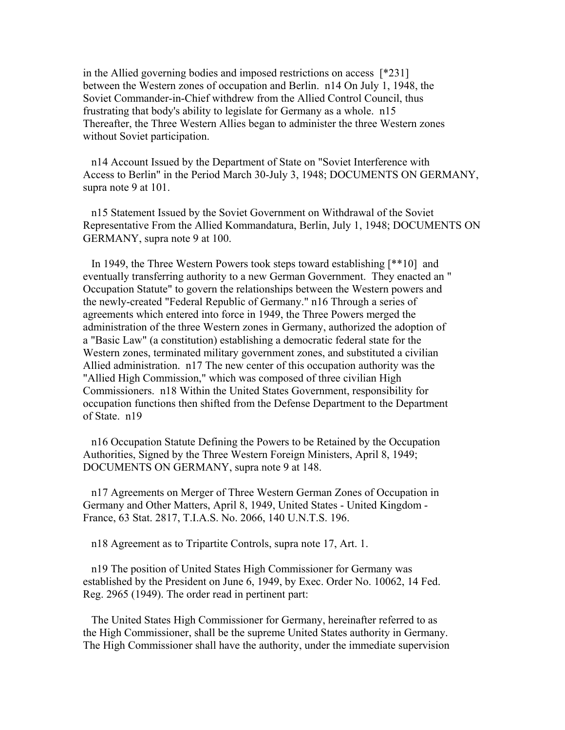in the Allied governing bodies and imposed restrictions on access [\*231] between the Western zones of occupation and Berlin. n14 On July 1, 1948, the Soviet Commander-in-Chief withdrew from the Allied Control Council, thus frustrating that body's ability to legislate for Germany as a whole. n15 Thereafter, the Three Western Allies began to administer the three Western zones without Soviet participation.

 n14 Account Issued by the Department of State on "Soviet Interference with Access to Berlin" in the Period March 30-July 3, 1948; DOCUMENTS ON GERMANY, supra note 9 at 101.

 n15 Statement Issued by the Soviet Government on Withdrawal of the Soviet Representative From the Allied Kommandatura, Berlin, July 1, 1948; DOCUMENTS ON GERMANY, supra note 9 at 100.

 In 1949, the Three Western Powers took steps toward establishing [\*\*10] and eventually transferring authority to a new German Government. They enacted an " Occupation Statute" to govern the relationships between the Western powers and the newly-created "Federal Republic of Germany." n16 Through a series of agreements which entered into force in 1949, the Three Powers merged the administration of the three Western zones in Germany, authorized the adoption of a "Basic Law" (a constitution) establishing a democratic federal state for the Western zones, terminated military government zones, and substituted a civilian Allied administration. n17 The new center of this occupation authority was the "Allied High Commission," which was composed of three civilian High Commissioners. n18 Within the United States Government, responsibility for occupation functions then shifted from the Defense Department to the Department of State. n19

 n16 Occupation Statute Defining the Powers to be Retained by the Occupation Authorities, Signed by the Three Western Foreign Ministers, April 8, 1949; DOCUMENTS ON GERMANY, supra note 9 at 148.

 n17 Agreements on Merger of Three Western German Zones of Occupation in Germany and Other Matters, April 8, 1949, United States - United Kingdom - France, 63 Stat. 2817, T.I.A.S. No. 2066, 140 U.N.T.S. 196.

n18 Agreement as to Tripartite Controls, supra note 17, Art. 1.

 n19 The position of United States High Commissioner for Germany was established by the President on June 6, 1949, by Exec. Order No. 10062, 14 Fed. Reg. 2965 (1949). The order read in pertinent part:

 The United States High Commissioner for Germany, hereinafter referred to as the High Commissioner, shall be the supreme United States authority in Germany. The High Commissioner shall have the authority, under the immediate supervision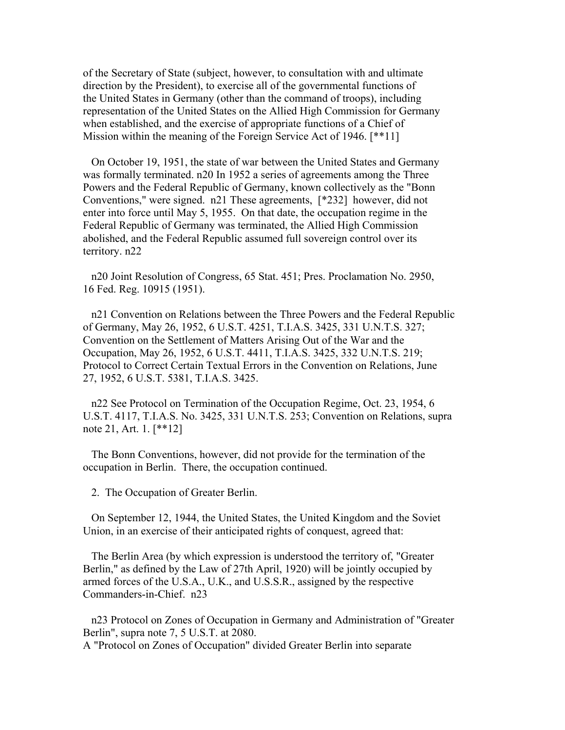of the Secretary of State (subject, however, to consultation with and ultimate direction by the President), to exercise all of the governmental functions of the United States in Germany (other than the command of troops), including representation of the United States on the Allied High Commission for Germany when established, and the exercise of appropriate functions of a Chief of Mission within the meaning of the Foreign Service Act of 1946. [\*\*11]

 On October 19, 1951, the state of war between the United States and Germany was formally terminated. n20 In 1952 a series of agreements among the Three Powers and the Federal Republic of Germany, known collectively as the "Bonn Conventions," were signed. n21 These agreements, [\*232] however, did not enter into force until May 5, 1955. On that date, the occupation regime in the Federal Republic of Germany was terminated, the Allied High Commission abolished, and the Federal Republic assumed full sovereign control over its territory. n22

 n20 Joint Resolution of Congress, 65 Stat. 451; Pres. Proclamation No. 2950, 16 Fed. Reg. 10915 (1951).

 n21 Convention on Relations between the Three Powers and the Federal Republic of Germany, May 26, 1952, 6 U.S.T. 4251, T.I.A.S. 3425, 331 U.N.T.S. 327; Convention on the Settlement of Matters Arising Out of the War and the Occupation, May 26, 1952, 6 U.S.T. 4411, T.I.A.S. 3425, 332 U.N.T.S. 219; Protocol to Correct Certain Textual Errors in the Convention on Relations, June 27, 1952, 6 U.S.T. 5381, T.I.A.S. 3425.

 n22 See Protocol on Termination of the Occupation Regime, Oct. 23, 1954, 6 U.S.T. 4117, T.I.A.S. No. 3425, 331 U.N.T.S. 253; Convention on Relations, supra note 21, Art. 1. [\*\*12]

 The Bonn Conventions, however, did not provide for the termination of the occupation in Berlin. There, the occupation continued.

2. The Occupation of Greater Berlin.

 On September 12, 1944, the United States, the United Kingdom and the Soviet Union, in an exercise of their anticipated rights of conquest, agreed that:

 The Berlin Area (by which expression is understood the territory of, "Greater Berlin," as defined by the Law of 27th April, 1920) will be jointly occupied by armed forces of the U.S.A., U.K., and U.S.S.R., assigned by the respective Commanders-in-Chief. n23

 n23 Protocol on Zones of Occupation in Germany and Administration of "Greater Berlin", supra note 7, 5 U.S.T. at 2080.

A "Protocol on Zones of Occupation" divided Greater Berlin into separate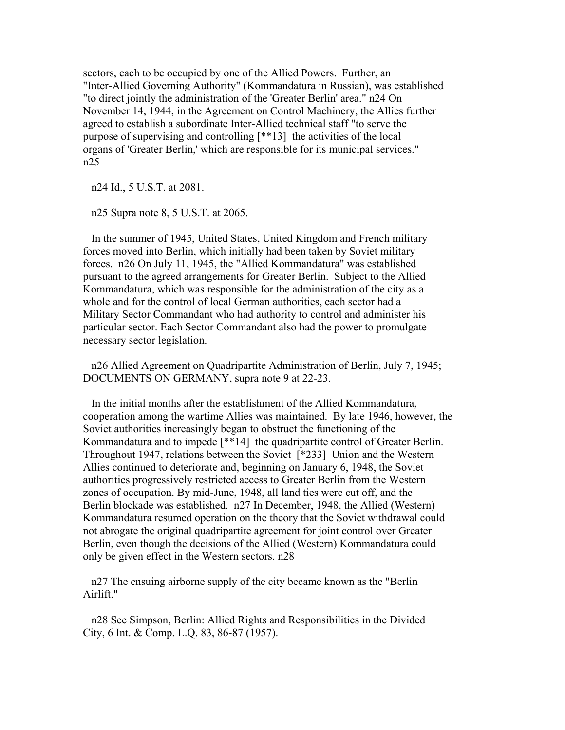sectors, each to be occupied by one of the Allied Powers. Further, an "Inter-Allied Governing Authority" (Kommandatura in Russian), was established "to direct jointly the administration of the 'Greater Berlin' area." n24 On November 14, 1944, in the Agreement on Control Machinery, the Allies further agreed to establish a subordinate Inter-Allied technical staff "to serve the purpose of supervising and controlling [\*\*13] the activities of the local organs of 'Greater Berlin,' which are responsible for its municipal services." n25

n24 Id., 5 U.S.T. at 2081.

n25 Supra note 8, 5 U.S.T. at 2065.

 In the summer of 1945, United States, United Kingdom and French military forces moved into Berlin, which initially had been taken by Soviet military forces. n26 On July 11, 1945, the "Allied Kommandatura" was established pursuant to the agreed arrangements for Greater Berlin. Subject to the Allied Kommandatura, which was responsible for the administration of the city as a whole and for the control of local German authorities, each sector had a Military Sector Commandant who had authority to control and administer his particular sector. Each Sector Commandant also had the power to promulgate necessary sector legislation.

 n26 Allied Agreement on Quadripartite Administration of Berlin, July 7, 1945; DOCUMENTS ON GERMANY, supra note 9 at 22-23.

 In the initial months after the establishment of the Allied Kommandatura, cooperation among the wartime Allies was maintained. By late 1946, however, the Soviet authorities increasingly began to obstruct the functioning of the Kommandatura and to impede [\*\*14] the quadripartite control of Greater Berlin. Throughout 1947, relations between the Soviet [\*233] Union and the Western Allies continued to deteriorate and, beginning on January 6, 1948, the Soviet authorities progressively restricted access to Greater Berlin from the Western zones of occupation. By mid-June, 1948, all land ties were cut off, and the Berlin blockade was established. n27 In December, 1948, the Allied (Western) Kommandatura resumed operation on the theory that the Soviet withdrawal could not abrogate the original quadripartite agreement for joint control over Greater Berlin, even though the decisions of the Allied (Western) Kommandatura could only be given effect in the Western sectors. n28

 n27 The ensuing airborne supply of the city became known as the "Berlin Airlift."

 n28 See Simpson, Berlin: Allied Rights and Responsibilities in the Divided City, 6 Int. & Comp. L.Q. 83, 86-87 (1957).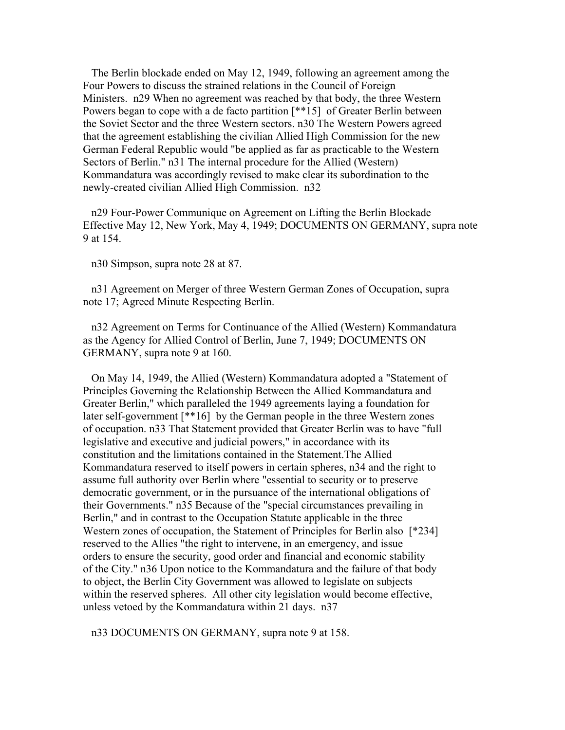The Berlin blockade ended on May 12, 1949, following an agreement among the Four Powers to discuss the strained relations in the Council of Foreign Ministers. n29 When no agreement was reached by that body, the three Western Powers began to cope with a de facto partition [\*\*15] of Greater Berlin between the Soviet Sector and the three Western sectors. n30 The Western Powers agreed that the agreement establishing the civilian Allied High Commission for the new German Federal Republic would "be applied as far as practicable to the Western Sectors of Berlin." n31 The internal procedure for the Allied (Western) Kommandatura was accordingly revised to make clear its subordination to the newly-created civilian Allied High Commission. n32

 n29 Four-Power Communique on Agreement on Lifting the Berlin Blockade Effective May 12, New York, May 4, 1949; DOCUMENTS ON GERMANY, supra note 9 at 154.

n30 Simpson, supra note 28 at 87.

 n31 Agreement on Merger of three Western German Zones of Occupation, supra note 17; Agreed Minute Respecting Berlin.

 n32 Agreement on Terms for Continuance of the Allied (Western) Kommandatura as the Agency for Allied Control of Berlin, June 7, 1949; DOCUMENTS ON GERMANY, supra note 9 at 160.

 On May 14, 1949, the Allied (Western) Kommandatura adopted a "Statement of Principles Governing the Relationship Between the Allied Kommandatura and Greater Berlin," which paralleled the 1949 agreements laying a foundation for later self-government [\*\*16] by the German people in the three Western zones of occupation. n33 That Statement provided that Greater Berlin was to have "full legislative and executive and judicial powers," in accordance with its constitution and the limitations contained in the Statement.The Allied Kommandatura reserved to itself powers in certain spheres, n34 and the right to assume full authority over Berlin where "essential to security or to preserve democratic government, or in the pursuance of the international obligations of their Governments." n35 Because of the "special circumstances prevailing in Berlin," and in contrast to the Occupation Statute applicable in the three Western zones of occupation, the Statement of Principles for Berlin also [\*234] reserved to the Allies "the right to intervene, in an emergency, and issue orders to ensure the security, good order and financial and economic stability of the City." n36 Upon notice to the Kommandatura and the failure of that body to object, the Berlin City Government was allowed to legislate on subjects within the reserved spheres. All other city legislation would become effective, unless vetoed by the Kommandatura within 21 days. n37

n33 DOCUMENTS ON GERMANY, supra note 9 at 158.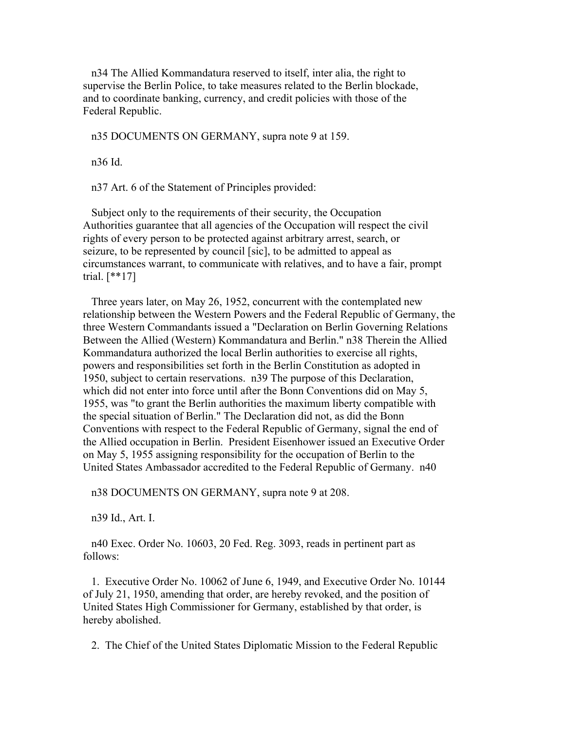n34 The Allied Kommandatura reserved to itself, inter alia, the right to supervise the Berlin Police, to take measures related to the Berlin blockade, and to coordinate banking, currency, and credit policies with those of the Federal Republic.

n35 DOCUMENTS ON GERMANY, supra note 9 at 159.

n36 Id.

n37 Art. 6 of the Statement of Principles provided:

 Subject only to the requirements of their security, the Occupation Authorities guarantee that all agencies of the Occupation will respect the civil rights of every person to be protected against arbitrary arrest, search, or seizure, to be represented by council [sic], to be admitted to appeal as circumstances warrant, to communicate with relatives, and to have a fair, prompt trial. [\*\*17]

 Three years later, on May 26, 1952, concurrent with the contemplated new relationship between the Western Powers and the Federal Republic of Germany, the three Western Commandants issued a "Declaration on Berlin Governing Relations Between the Allied (Western) Kommandatura and Berlin." n38 Therein the Allied Kommandatura authorized the local Berlin authorities to exercise all rights, powers and responsibilities set forth in the Berlin Constitution as adopted in 1950, subject to certain reservations. n39 The purpose of this Declaration, which did not enter into force until after the Bonn Conventions did on May 5, 1955, was "to grant the Berlin authorities the maximum liberty compatible with the special situation of Berlin." The Declaration did not, as did the Bonn Conventions with respect to the Federal Republic of Germany, signal the end of the Allied occupation in Berlin. President Eisenhower issued an Executive Order on May 5, 1955 assigning responsibility for the occupation of Berlin to the United States Ambassador accredited to the Federal Republic of Germany. n40

n38 DOCUMENTS ON GERMANY, supra note 9 at 208.

n39 Id., Art. I.

 n40 Exec. Order No. 10603, 20 Fed. Reg. 3093, reads in pertinent part as follows:

 1. Executive Order No. 10062 of June 6, 1949, and Executive Order No. 10144 of July 21, 1950, amending that order, are hereby revoked, and the position of United States High Commissioner for Germany, established by that order, is hereby abolished.

2. The Chief of the United States Diplomatic Mission to the Federal Republic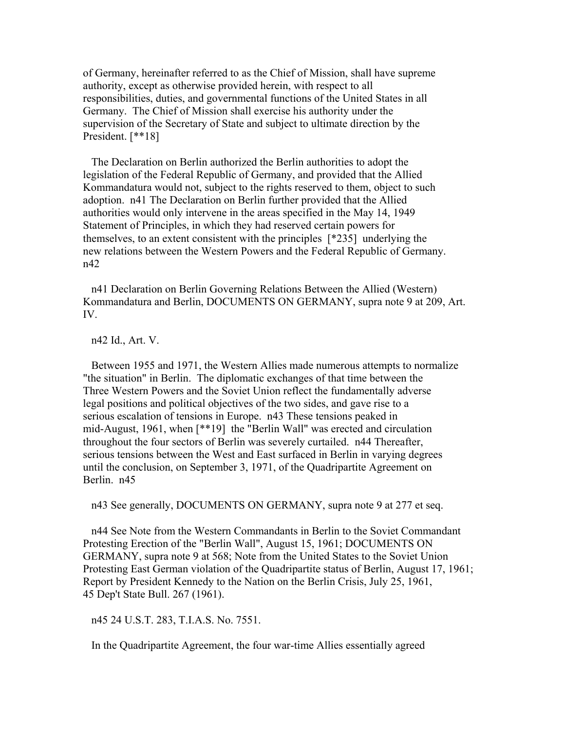of Germany, hereinafter referred to as the Chief of Mission, shall have supreme authority, except as otherwise provided herein, with respect to all responsibilities, duties, and governmental functions of the United States in all Germany. The Chief of Mission shall exercise his authority under the supervision of the Secretary of State and subject to ultimate direction by the President. [\*\*18]

 The Declaration on Berlin authorized the Berlin authorities to adopt the legislation of the Federal Republic of Germany, and provided that the Allied Kommandatura would not, subject to the rights reserved to them, object to such adoption. n41 The Declaration on Berlin further provided that the Allied authorities would only intervene in the areas specified in the May 14, 1949 Statement of Principles, in which they had reserved certain powers for themselves, to an extent consistent with the principles [\*235] underlying the new relations between the Western Powers and the Federal Republic of Germany. n42

 n41 Declaration on Berlin Governing Relations Between the Allied (Western) Kommandatura and Berlin, DOCUMENTS ON GERMANY, supra note 9 at 209, Art. IV.

n42 Id., Art. V.

 Between 1955 and 1971, the Western Allies made numerous attempts to normalize "the situation" in Berlin. The diplomatic exchanges of that time between the Three Western Powers and the Soviet Union reflect the fundamentally adverse legal positions and political objectives of the two sides, and gave rise to a serious escalation of tensions in Europe. n43 These tensions peaked in mid-August, 1961, when [\*\*19] the "Berlin Wall" was erected and circulation throughout the four sectors of Berlin was severely curtailed. n44 Thereafter, serious tensions between the West and East surfaced in Berlin in varying degrees until the conclusion, on September 3, 1971, of the Quadripartite Agreement on Berlin. n45

n43 See generally, DOCUMENTS ON GERMANY, supra note 9 at 277 et seq.

 n44 See Note from the Western Commandants in Berlin to the Soviet Commandant Protesting Erection of the "Berlin Wall", August 15, 1961; DOCUMENTS ON GERMANY, supra note 9 at 568; Note from the United States to the Soviet Union Protesting East German violation of the Quadripartite status of Berlin, August 17, 1961; Report by President Kennedy to the Nation on the Berlin Crisis, July 25, 1961, 45 Dep't State Bull. 267 (1961).

n45 24 U.S.T. 283, T.I.A.S. No. 7551.

In the Quadripartite Agreement, the four war-time Allies essentially agreed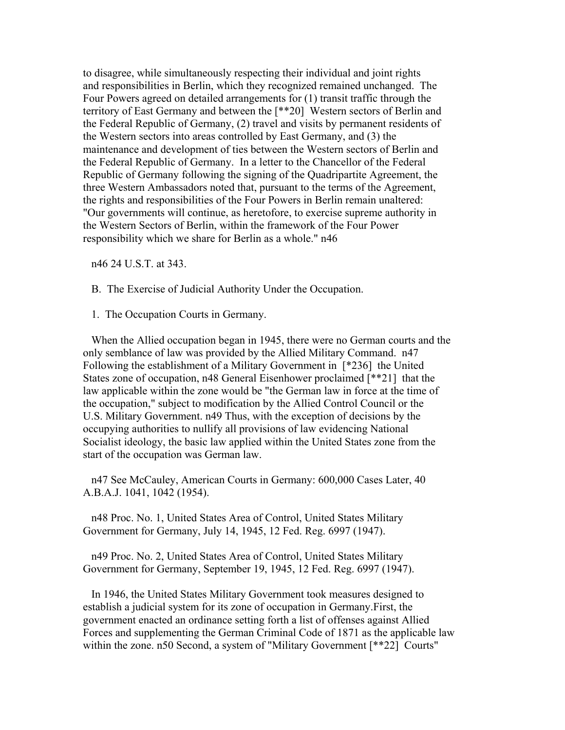to disagree, while simultaneously respecting their individual and joint rights and responsibilities in Berlin, which they recognized remained unchanged. The Four Powers agreed on detailed arrangements for (1) transit traffic through the territory of East Germany and between the [\*\*20] Western sectors of Berlin and the Federal Republic of Germany, (2) travel and visits by permanent residents of the Western sectors into areas controlled by East Germany, and (3) the maintenance and development of ties between the Western sectors of Berlin and the Federal Republic of Germany. In a letter to the Chancellor of the Federal Republic of Germany following the signing of the Quadripartite Agreement, the three Western Ambassadors noted that, pursuant to the terms of the Agreement, the rights and responsibilities of the Four Powers in Berlin remain unaltered: "Our governments will continue, as heretofore, to exercise supreme authority in the Western Sectors of Berlin, within the framework of the Four Power responsibility which we share for Berlin as a whole." n46

n46 24 U.S.T. at 343.

B. The Exercise of Judicial Authority Under the Occupation.

1. The Occupation Courts in Germany.

 When the Allied occupation began in 1945, there were no German courts and the only semblance of law was provided by the Allied Military Command. n47 Following the establishment of a Military Government in [\*236] the United States zone of occupation, n48 General Eisenhower proclaimed [\*\*21] that the law applicable within the zone would be "the German law in force at the time of the occupation," subject to modification by the Allied Control Council or the U.S. Military Government. n49 Thus, with the exception of decisions by the occupying authorities to nullify all provisions of law evidencing National Socialist ideology, the basic law applied within the United States zone from the start of the occupation was German law.

 n47 See McCauley, American Courts in Germany: 600,000 Cases Later, 40 A.B.A.J. 1041, 1042 (1954).

 n48 Proc. No. 1, United States Area of Control, United States Military Government for Germany, July 14, 1945, 12 Fed. Reg. 6997 (1947).

 n49 Proc. No. 2, United States Area of Control, United States Military Government for Germany, September 19, 1945, 12 Fed. Reg. 6997 (1947).

 In 1946, the United States Military Government took measures designed to establish a judicial system for its zone of occupation in Germany.First, the government enacted an ordinance setting forth a list of offenses against Allied Forces and supplementing the German Criminal Code of 1871 as the applicable law within the zone. n50 Second, a system of "Military Government [\*\*22] Courts"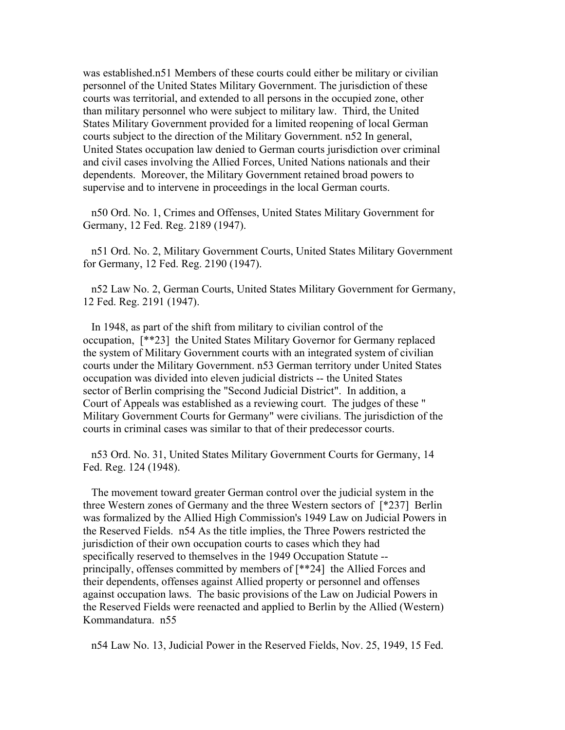was established.n51 Members of these courts could either be military or civilian personnel of the United States Military Government. The jurisdiction of these courts was territorial, and extended to all persons in the occupied zone, other than military personnel who were subject to military law. Third, the United States Military Government provided for a limited reopening of local German courts subject to the direction of the Military Government. n52 In general, United States occupation law denied to German courts jurisdiction over criminal and civil cases involving the Allied Forces, United Nations nationals and their dependents. Moreover, the Military Government retained broad powers to supervise and to intervene in proceedings in the local German courts.

 n50 Ord. No. 1, Crimes and Offenses, United States Military Government for Germany, 12 Fed. Reg. 2189 (1947).

 n51 Ord. No. 2, Military Government Courts, United States Military Government for Germany, 12 Fed. Reg. 2190 (1947).

 n52 Law No. 2, German Courts, United States Military Government for Germany, 12 Fed. Reg. 2191 (1947).

 In 1948, as part of the shift from military to civilian control of the occupation, [\*\*23] the United States Military Governor for Germany replaced the system of Military Government courts with an integrated system of civilian courts under the Military Government. n53 German territory under United States occupation was divided into eleven judicial districts -- the United States sector of Berlin comprising the "Second Judicial District". In addition, a Court of Appeals was established as a reviewing court. The judges of these " Military Government Courts for Germany" were civilians. The jurisdiction of the courts in criminal cases was similar to that of their predecessor courts.

 n53 Ord. No. 31, United States Military Government Courts for Germany, 14 Fed. Reg. 124 (1948).

 The movement toward greater German control over the judicial system in the three Western zones of Germany and the three Western sectors of [\*237] Berlin was formalized by the Allied High Commission's 1949 Law on Judicial Powers in the Reserved Fields. n54 As the title implies, the Three Powers restricted the jurisdiction of their own occupation courts to cases which they had specifically reserved to themselves in the 1949 Occupation Statute - principally, offenses committed by members of [\*\*24] the Allied Forces and their dependents, offenses against Allied property or personnel and offenses against occupation laws. The basic provisions of the Law on Judicial Powers in the Reserved Fields were reenacted and applied to Berlin by the Allied (Western) Kommandatura. n55

n54 Law No. 13, Judicial Power in the Reserved Fields, Nov. 25, 1949, 15 Fed.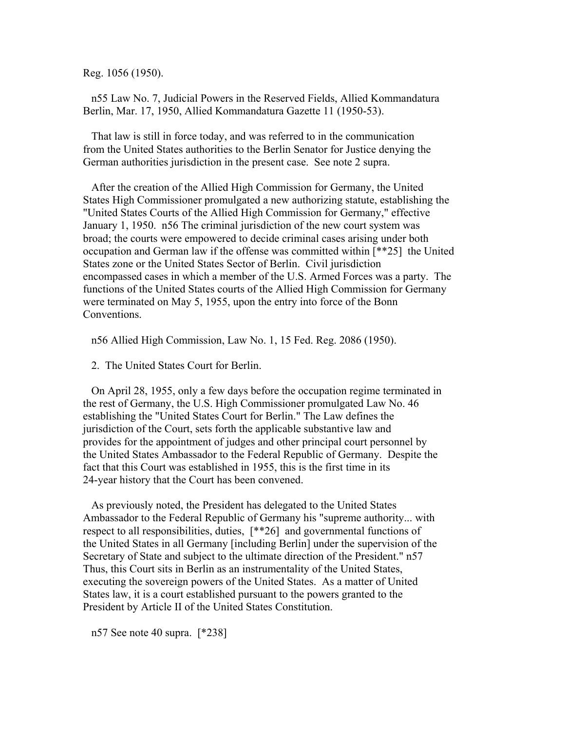Reg. 1056 (1950).

 n55 Law No. 7, Judicial Powers in the Reserved Fields, Allied Kommandatura Berlin, Mar. 17, 1950, Allied Kommandatura Gazette 11 (1950-53).

 That law is still in force today, and was referred to in the communication from the United States authorities to the Berlin Senator for Justice denying the German authorities jurisdiction in the present case. See note 2 supra.

 After the creation of the Allied High Commission for Germany, the United States High Commissioner promulgated a new authorizing statute, establishing the "United States Courts of the Allied High Commission for Germany," effective January 1, 1950. n56 The criminal jurisdiction of the new court system was broad; the courts were empowered to decide criminal cases arising under both occupation and German law if the offense was committed within [\*\*25] the United States zone or the United States Sector of Berlin. Civil jurisdiction encompassed cases in which a member of the U.S. Armed Forces was a party. The functions of the United States courts of the Allied High Commission for Germany were terminated on May 5, 1955, upon the entry into force of the Bonn **Conventions** 

n56 Allied High Commission, Law No. 1, 15 Fed. Reg. 2086 (1950).

2. The United States Court for Berlin.

 On April 28, 1955, only a few days before the occupation regime terminated in the rest of Germany, the U.S. High Commissioner promulgated Law No. 46 establishing the "United States Court for Berlin." The Law defines the jurisdiction of the Court, sets forth the applicable substantive law and provides for the appointment of judges and other principal court personnel by the United States Ambassador to the Federal Republic of Germany. Despite the fact that this Court was established in 1955, this is the first time in its 24-year history that the Court has been convened.

 As previously noted, the President has delegated to the United States Ambassador to the Federal Republic of Germany his "supreme authority... with respect to all responsibilities, duties, [\*\*26] and governmental functions of the United States in all Germany [including Berlin] under the supervision of the Secretary of State and subject to the ultimate direction of the President." n57 Thus, this Court sits in Berlin as an instrumentality of the United States, executing the sovereign powers of the United States. As a matter of United States law, it is a court established pursuant to the powers granted to the President by Article II of the United States Constitution.

n57 See note 40 supra. [\*238]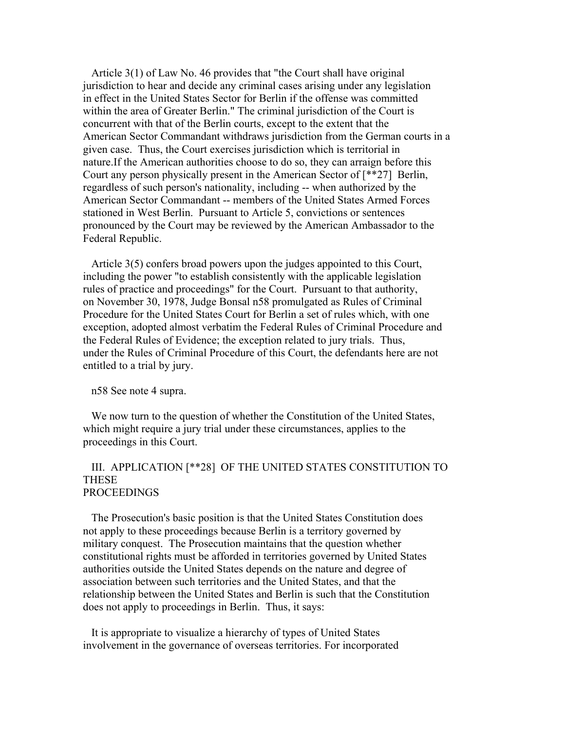Article 3(1) of Law No. 46 provides that "the Court shall have original jurisdiction to hear and decide any criminal cases arising under any legislation in effect in the United States Sector for Berlin if the offense was committed within the area of Greater Berlin." The criminal jurisdiction of the Court is concurrent with that of the Berlin courts, except to the extent that the American Sector Commandant withdraws jurisdiction from the German courts in a given case. Thus, the Court exercises jurisdiction which is territorial in nature.If the American authorities choose to do so, they can arraign before this Court any person physically present in the American Sector of [\*\*27] Berlin, regardless of such person's nationality, including -- when authorized by the American Sector Commandant -- members of the United States Armed Forces stationed in West Berlin. Pursuant to Article 5, convictions or sentences pronounced by the Court may be reviewed by the American Ambassador to the Federal Republic.

 Article 3(5) confers broad powers upon the judges appointed to this Court, including the power "to establish consistently with the applicable legislation rules of practice and proceedings" for the Court. Pursuant to that authority, on November 30, 1978, Judge Bonsal n58 promulgated as Rules of Criminal Procedure for the United States Court for Berlin a set of rules which, with one exception, adopted almost verbatim the Federal Rules of Criminal Procedure and the Federal Rules of Evidence; the exception related to jury trials. Thus, under the Rules of Criminal Procedure of this Court, the defendants here are not entitled to a trial by jury.

n58 See note 4 supra.

 We now turn to the question of whether the Constitution of the United States, which might require a jury trial under these circumstances, applies to the proceedings in this Court.

# III. APPLICATION [\*\*28] OF THE UNITED STATES CONSTITUTION TO **THESE** PROCEEDINGS

 The Prosecution's basic position is that the United States Constitution does not apply to these proceedings because Berlin is a territory governed by military conquest. The Prosecution maintains that the question whether constitutional rights must be afforded in territories governed by United States authorities outside the United States depends on the nature and degree of association between such territories and the United States, and that the relationship between the United States and Berlin is such that the Constitution does not apply to proceedings in Berlin. Thus, it says:

 It is appropriate to visualize a hierarchy of types of United States involvement in the governance of overseas territories. For incorporated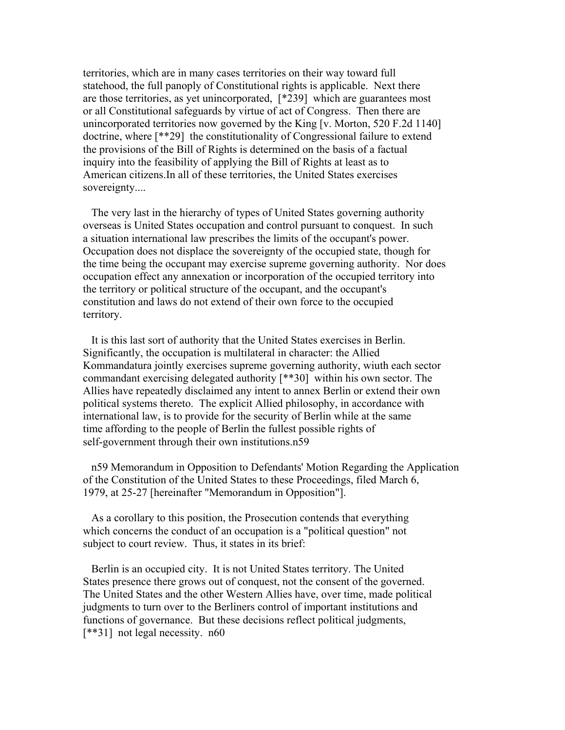territories, which are in many cases territories on their way toward full statehood, the full panoply of Constitutional rights is applicable. Next there are those territories, as yet unincorporated, [\*239] which are guarantees most or all Constitutional safeguards by virtue of act of Congress. Then there are unincorporated territories now governed by the King [v. Morton, 520 F.2d 1140] doctrine, where [\*\*29] the constitutionality of Congressional failure to extend the provisions of the Bill of Rights is determined on the basis of a factual inquiry into the feasibility of applying the Bill of Rights at least as to American citizens.In all of these territories, the United States exercises sovereignty....

 The very last in the hierarchy of types of United States governing authority overseas is United States occupation and control pursuant to conquest. In such a situation international law prescribes the limits of the occupant's power. Occupation does not displace the sovereignty of the occupied state, though for the time being the occupant may exercise supreme governing authority. Nor does occupation effect any annexation or incorporation of the occupied territory into the territory or political structure of the occupant, and the occupant's constitution and laws do not extend of their own force to the occupied territory.

 It is this last sort of authority that the United States exercises in Berlin. Significantly, the occupation is multilateral in character: the Allied Kommandatura jointly exercises supreme governing authority, wiuth each sector commandant exercising delegated authority [\*\*30] within his own sector. The Allies have repeatedly disclaimed any intent to annex Berlin or extend their own political systems thereto. The explicit Allied philosophy, in accordance with international law, is to provide for the security of Berlin while at the same time affording to the people of Berlin the fullest possible rights of self-government through their own institutions.n59

 n59 Memorandum in Opposition to Defendants' Motion Regarding the Application of the Constitution of the United States to these Proceedings, filed March 6, 1979, at 25-27 [hereinafter "Memorandum in Opposition"].

 As a corollary to this position, the Prosecution contends that everything which concerns the conduct of an occupation is a "political question" not subject to court review. Thus, it states in its brief:

 Berlin is an occupied city. It is not United States territory. The United States presence there grows out of conquest, not the consent of the governed. The United States and the other Western Allies have, over time, made political judgments to turn over to the Berliners control of important institutions and functions of governance. But these decisions reflect political judgments, [\*\*31] not legal necessity. n60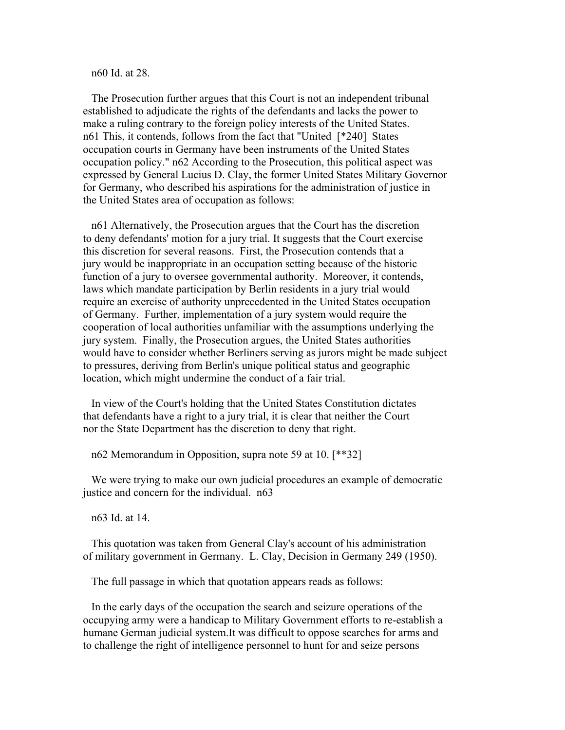#### n60 Id. at 28.

 The Prosecution further argues that this Court is not an independent tribunal established to adjudicate the rights of the defendants and lacks the power to make a ruling contrary to the foreign policy interests of the United States. n61 This, it contends, follows from the fact that "United [\*240] States occupation courts in Germany have been instruments of the United States occupation policy." n62 According to the Prosecution, this political aspect was expressed by General Lucius D. Clay, the former United States Military Governor for Germany, who described his aspirations for the administration of justice in the United States area of occupation as follows:

 n61 Alternatively, the Prosecution argues that the Court has the discretion to deny defendants' motion for a jury trial. It suggests that the Court exercise this discretion for several reasons. First, the Prosecution contends that a jury would be inappropriate in an occupation setting because of the historic function of a jury to oversee governmental authority. Moreover, it contends, laws which mandate participation by Berlin residents in a jury trial would require an exercise of authority unprecedented in the United States occupation of Germany. Further, implementation of a jury system would require the cooperation of local authorities unfamiliar with the assumptions underlying the jury system. Finally, the Prosecution argues, the United States authorities would have to consider whether Berliners serving as jurors might be made subject to pressures, deriving from Berlin's unique political status and geographic location, which might undermine the conduct of a fair trial.

 In view of the Court's holding that the United States Constitution dictates that defendants have a right to a jury trial, it is clear that neither the Court nor the State Department has the discretion to deny that right.

n62 Memorandum in Opposition, supra note 59 at 10. [\*\*32]

 We were trying to make our own judicial procedures an example of democratic justice and concern for the individual. n63

n63 Id. at 14.

 This quotation was taken from General Clay's account of his administration of military government in Germany. L. Clay, Decision in Germany 249 (1950).

The full passage in which that quotation appears reads as follows:

 In the early days of the occupation the search and seizure operations of the occupying army were a handicap to Military Government efforts to re-establish a humane German judicial system.It was difficult to oppose searches for arms and to challenge the right of intelligence personnel to hunt for and seize persons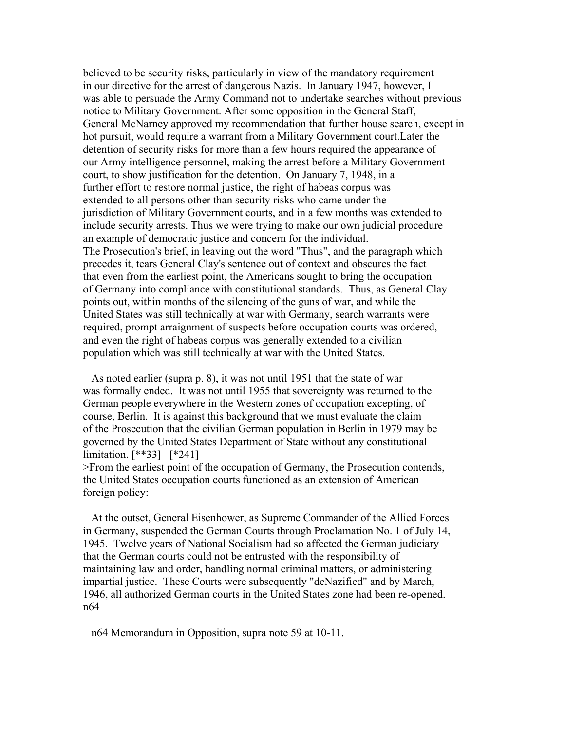believed to be security risks, particularly in view of the mandatory requirement in our directive for the arrest of dangerous Nazis. In January 1947, however, I was able to persuade the Army Command not to undertake searches without previous notice to Military Government. After some opposition in the General Staff, General McNarney approved my recommendation that further house search, except in hot pursuit, would require a warrant from a Military Government court.Later the detention of security risks for more than a few hours required the appearance of our Army intelligence personnel, making the arrest before a Military Government court, to show justification for the detention. On January 7, 1948, in a further effort to restore normal justice, the right of habeas corpus was extended to all persons other than security risks who came under the jurisdiction of Military Government courts, and in a few months was extended to include security arrests. Thus we were trying to make our own judicial procedure an example of democratic justice and concern for the individual. The Prosecution's brief, in leaving out the word "Thus", and the paragraph which precedes it, tears General Clay's sentence out of context and obscures the fact that even from the earliest point, the Americans sought to bring the occupation of Germany into compliance with constitutional standards. Thus, as General Clay points out, within months of the silencing of the guns of war, and while the United States was still technically at war with Germany, search warrants were required, prompt arraignment of suspects before occupation courts was ordered, and even the right of habeas corpus was generally extended to a civilian population which was still technically at war with the United States.

 As noted earlier (supra p. 8), it was not until 1951 that the state of war was formally ended. It was not until 1955 that sovereignty was returned to the German people everywhere in the Western zones of occupation excepting, of course, Berlin. It is against this background that we must evaluate the claim of the Prosecution that the civilian German population in Berlin in 1979 may be governed by the United States Department of State without any constitutional limitation. [\*\*33] [\*241] >From the earliest point of the occupation of Germany, the Prosecution contends,

the United States occupation courts functioned as an extension of American foreign policy:

 At the outset, General Eisenhower, as Supreme Commander of the Allied Forces in Germany, suspended the German Courts through Proclamation No. 1 of July 14, 1945. Twelve years of National Socialism had so affected the German judiciary that the German courts could not be entrusted with the responsibility of maintaining law and order, handling normal criminal matters, or administering impartial justice. These Courts were subsequently "deNazified" and by March, 1946, all authorized German courts in the United States zone had been re-opened. n64

n64 Memorandum in Opposition, supra note 59 at 10-11.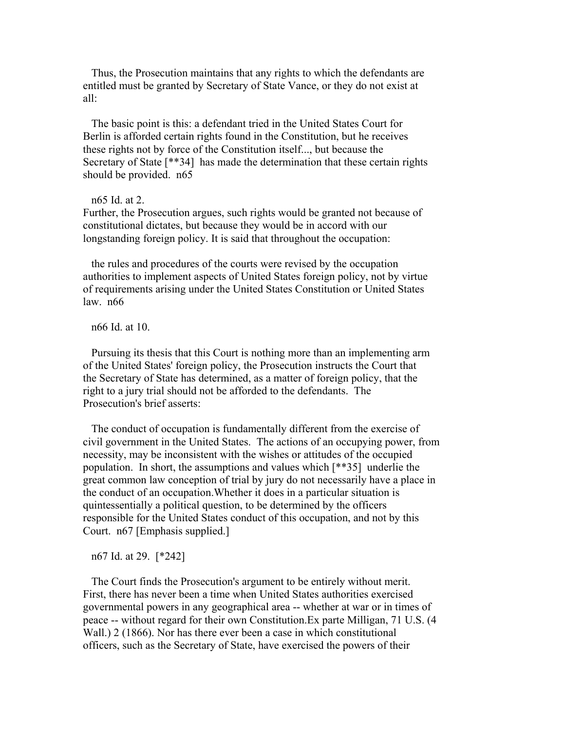Thus, the Prosecution maintains that any rights to which the defendants are entitled must be granted by Secretary of State Vance, or they do not exist at all:

 The basic point is this: a defendant tried in the United States Court for Berlin is afforded certain rights found in the Constitution, but he receives these rights not by force of the Constitution itself..., but because the Secretary of State [\*\*34] has made the determination that these certain rights should be provided. n65

n65 Id. at 2.

Further, the Prosecution argues, such rights would be granted not because of constitutional dictates, but because they would be in accord with our longstanding foreign policy. It is said that throughout the occupation:

 the rules and procedures of the courts were revised by the occupation authorities to implement aspects of United States foreign policy, not by virtue of requirements arising under the United States Constitution or United States law. n66

n66 Id. at 10.

 Pursuing its thesis that this Court is nothing more than an implementing arm of the United States' foreign policy, the Prosecution instructs the Court that the Secretary of State has determined, as a matter of foreign policy, that the right to a jury trial should not be afforded to the defendants. The Prosecution's brief asserts:

 The conduct of occupation is fundamentally different from the exercise of civil government in the United States. The actions of an occupying power, from necessity, may be inconsistent with the wishes or attitudes of the occupied population. In short, the assumptions and values which [\*\*35] underlie the great common law conception of trial by jury do not necessarily have a place in the conduct of an occupation.Whether it does in a particular situation is quintessentially a political question, to be determined by the officers responsible for the United States conduct of this occupation, and not by this Court. n67 [Emphasis supplied.]

n67 Id. at 29. [\*242]

 The Court finds the Prosecution's argument to be entirely without merit. First, there has never been a time when United States authorities exercised governmental powers in any geographical area -- whether at war or in times of peace -- without regard for their own Constitution.Ex parte Milligan, 71 U.S. (4 Wall.) 2 (1866). Nor has there ever been a case in which constitutional officers, such as the Secretary of State, have exercised the powers of their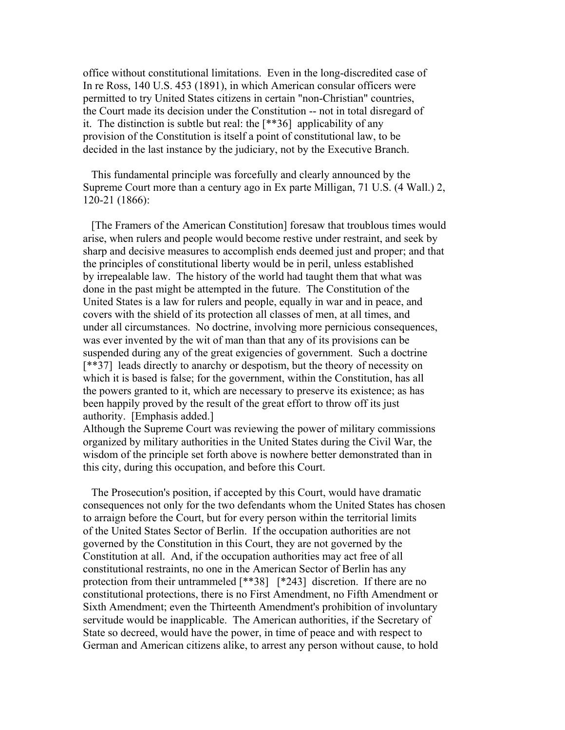office without constitutional limitations. Even in the long-discredited case of In re Ross, 140 U.S. 453 (1891), in which American consular officers were permitted to try United States citizens in certain "non-Christian" countries, the Court made its decision under the Constitution -- not in total disregard of it. The distinction is subtle but real: the  $[**36]$  applicability of any provision of the Constitution is itself a point of constitutional law, to be decided in the last instance by the judiciary, not by the Executive Branch.

 This fundamental principle was forcefully and clearly announced by the Supreme Court more than a century ago in Ex parte Milligan, 71 U.S. (4 Wall.) 2, 120-21 (1866):

 [The Framers of the American Constitution] foresaw that troublous times would arise, when rulers and people would become restive under restraint, and seek by sharp and decisive measures to accomplish ends deemed just and proper; and that the principles of constitutional liberty would be in peril, unless established by irrepealable law. The history of the world had taught them that what was done in the past might be attempted in the future. The Constitution of the United States is a law for rulers and people, equally in war and in peace, and covers with the shield of its protection all classes of men, at all times, and under all circumstances. No doctrine, involving more pernicious consequences, was ever invented by the wit of man than that any of its provisions can be suspended during any of the great exigencies of government. Such a doctrine [\*\*37] leads directly to anarchy or despotism, but the theory of necessity on which it is based is false; for the government, within the Constitution, has all the powers granted to it, which are necessary to preserve its existence; as has been happily proved by the result of the great effort to throw off its just authority. [Emphasis added.]

Although the Supreme Court was reviewing the power of military commissions organized by military authorities in the United States during the Civil War, the wisdom of the principle set forth above is nowhere better demonstrated than in this city, during this occupation, and before this Court.

 The Prosecution's position, if accepted by this Court, would have dramatic consequences not only for the two defendants whom the United States has chosen to arraign before the Court, but for every person within the territorial limits of the United States Sector of Berlin. If the occupation authorities are not governed by the Constitution in this Court, they are not governed by the Constitution at all. And, if the occupation authorities may act free of all constitutional restraints, no one in the American Sector of Berlin has any protection from their untrammeled [\*\*38] [\*243] discretion. If there are no constitutional protections, there is no First Amendment, no Fifth Amendment or Sixth Amendment; even the Thirteenth Amendment's prohibition of involuntary servitude would be inapplicable. The American authorities, if the Secretary of State so decreed, would have the power, in time of peace and with respect to German and American citizens alike, to arrest any person without cause, to hold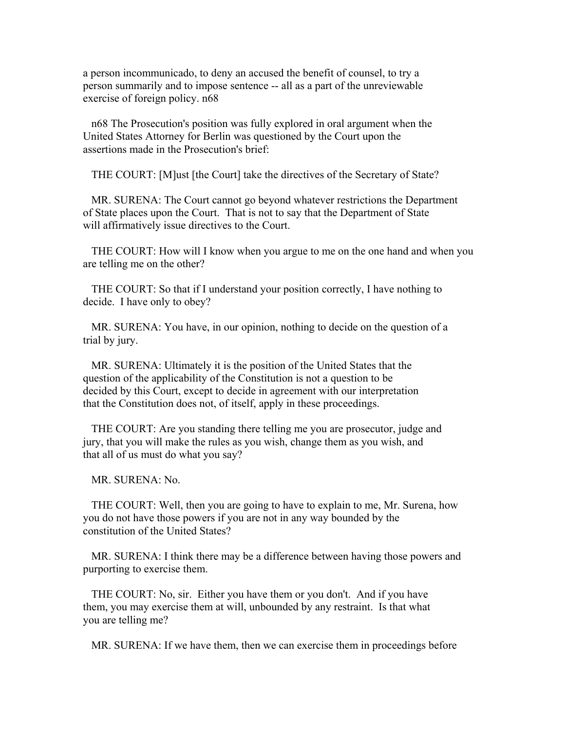a person incommunicado, to deny an accused the benefit of counsel, to try a person summarily and to impose sentence -- all as a part of the unreviewable exercise of foreign policy. n68

 n68 The Prosecution's position was fully explored in oral argument when the United States Attorney for Berlin was questioned by the Court upon the assertions made in the Prosecution's brief:

THE COURT: [M]ust [the Court] take the directives of the Secretary of State?

 MR. SURENA: The Court cannot go beyond whatever restrictions the Department of State places upon the Court. That is not to say that the Department of State will affirmatively issue directives to the Court.

 THE COURT: How will I know when you argue to me on the one hand and when you are telling me on the other?

 THE COURT: So that if I understand your position correctly, I have nothing to decide. I have only to obey?

 MR. SURENA: You have, in our opinion, nothing to decide on the question of a trial by jury.

 MR. SURENA: Ultimately it is the position of the United States that the question of the applicability of the Constitution is not a question to be decided by this Court, except to decide in agreement with our interpretation that the Constitution does not, of itself, apply in these proceedings.

 THE COURT: Are you standing there telling me you are prosecutor, judge and jury, that you will make the rules as you wish, change them as you wish, and that all of us must do what you say?

MR. SURENA: No.

 THE COURT: Well, then you are going to have to explain to me, Mr. Surena, how you do not have those powers if you are not in any way bounded by the constitution of the United States?

 MR. SURENA: I think there may be a difference between having those powers and purporting to exercise them.

 THE COURT: No, sir. Either you have them or you don't. And if you have them, you may exercise them at will, unbounded by any restraint. Is that what you are telling me?

MR. SURENA: If we have them, then we can exercise them in proceedings before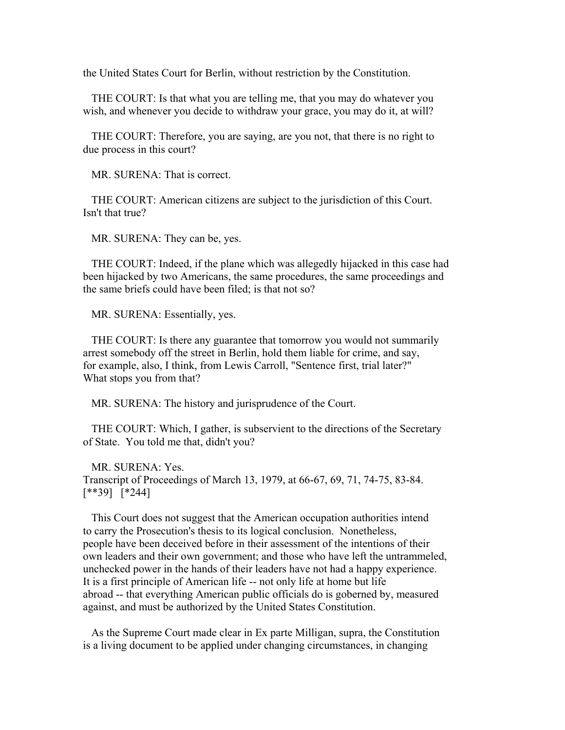the United States Court for Berlin, without restriction by the Constitution.

 THE COURT: Is that what you are telling me, that you may do whatever you wish, and whenever you decide to withdraw your grace, you may do it, at will?

 THE COURT: Therefore, you are saying, are you not, that there is no right to due process in this court?

MR. SURENA: That is correct.

 THE COURT: American citizens are subject to the jurisdiction of this Court. Isn't that true?

MR. SURENA: They can be, yes.

 THE COURT: Indeed, if the plane which was allegedly hijacked in this case had been hijacked by two Americans, the same procedures, the same proceedings and the same briefs could have been filed; is that not so?

MR. SURENA: Essentially, yes.

 THE COURT: Is there any guarantee that tomorrow you would not summarily arrest somebody off the street in Berlin, hold them liable for crime, and say, for example, also, I think, from Lewis Carroll, "Sentence first, trial later?" What stops you from that?

MR. SURENA: The history and jurisprudence of the Court.

 THE COURT: Which, I gather, is subservient to the directions of the Secretary of State. You told me that, didn't you?

 MR. SURENA: Yes. Transcript of Proceedings of March 13, 1979, at 66-67, 69, 71, 74-75, 83-84. [\*\*39] [\*244]

 This Court does not suggest that the American occupation authorities intend to carry the Prosecution's thesis to its logical conclusion. Nonetheless, people have been deceived before in their assessment of the intentions of their own leaders and their own government; and those who have left the untrammeled, unchecked power in the hands of their leaders have not had a happy experience. It is a first principle of American life -- not only life at home but life abroad -- that everything American public officials do is goberned by, measured against, and must be authorized by the United States Constitution.

 As the Supreme Court made clear in Ex parte Milligan, supra, the Constitution is a living document to be applied under changing circumstances, in changing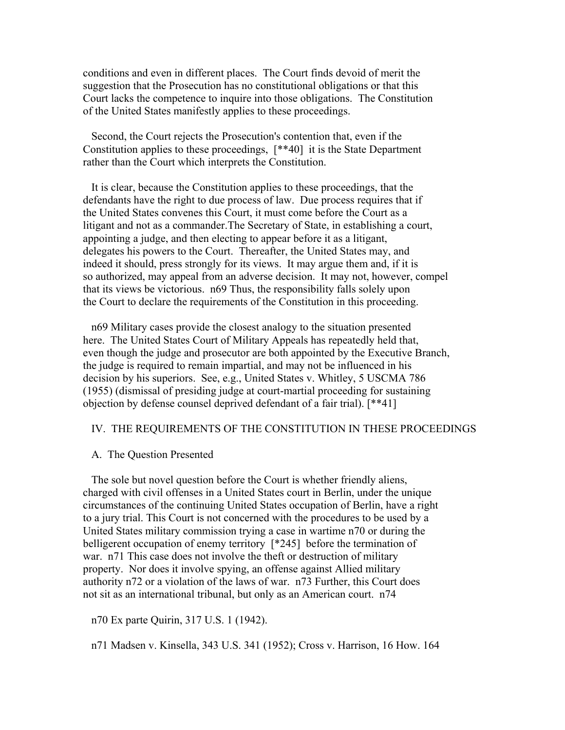conditions and even in different places. The Court finds devoid of merit the suggestion that the Prosecution has no constitutional obligations or that this Court lacks the competence to inquire into those obligations. The Constitution of the United States manifestly applies to these proceedings.

 Second, the Court rejects the Prosecution's contention that, even if the Constitution applies to these proceedings, [\*\*40] it is the State Department rather than the Court which interprets the Constitution.

 It is clear, because the Constitution applies to these proceedings, that the defendants have the right to due process of law. Due process requires that if the United States convenes this Court, it must come before the Court as a litigant and not as a commander.The Secretary of State, in establishing a court, appointing a judge, and then electing to appear before it as a litigant, delegates his powers to the Court. Thereafter, the United States may, and indeed it should, press strongly for its views. It may argue them and, if it is so authorized, may appeal from an adverse decision. It may not, however, compel that its views be victorious. n69 Thus, the responsibility falls solely upon the Court to declare the requirements of the Constitution in this proceeding.

 n69 Military cases provide the closest analogy to the situation presented here. The United States Court of Military Appeals has repeatedly held that, even though the judge and prosecutor are both appointed by the Executive Branch, the judge is required to remain impartial, and may not be influenced in his decision by his superiors. See, e.g., United States v. Whitley, 5 USCMA 786 (1955) (dismissal of presiding judge at court-martial proceeding for sustaining objection by defense counsel deprived defendant of a fair trial). [\*\*41]

#### IV. THE REQUIREMENTS OF THE CONSTITUTION IN THESE PROCEEDINGS

#### A. The Question Presented

 The sole but novel question before the Court is whether friendly aliens, charged with civil offenses in a United States court in Berlin, under the unique circumstances of the continuing United States occupation of Berlin, have a right to a jury trial. This Court is not concerned with the procedures to be used by a United States military commission trying a case in wartime n70 or during the belligerent occupation of enemy territory [\*245] before the termination of war. n71 This case does not involve the theft or destruction of military property. Nor does it involve spying, an offense against Allied military authority n72 or a violation of the laws of war. n73 Further, this Court does not sit as an international tribunal, but only as an American court. n74

n70 Ex parte Quirin, 317 U.S. 1 (1942).

n71 Madsen v. Kinsella, 343 U.S. 341 (1952); Cross v. Harrison, 16 How. 164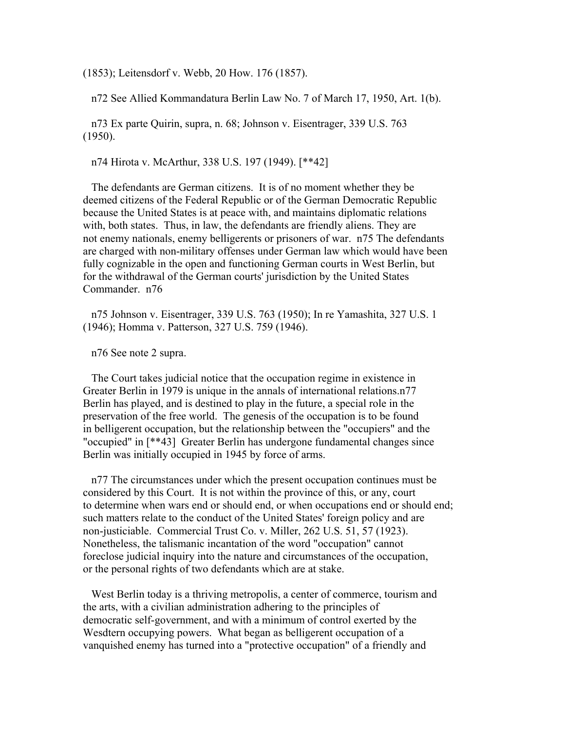(1853); Leitensdorf v. Webb, 20 How. 176 (1857).

n72 See Allied Kommandatura Berlin Law No. 7 of March 17, 1950, Art. 1(b).

 n73 Ex parte Quirin, supra, n. 68; Johnson v. Eisentrager, 339 U.S. 763 (1950).

n74 Hirota v. McArthur, 338 U.S. 197 (1949). [\*\*42]

 The defendants are German citizens. It is of no moment whether they be deemed citizens of the Federal Republic or of the German Democratic Republic because the United States is at peace with, and maintains diplomatic relations with, both states. Thus, in law, the defendants are friendly aliens. They are not enemy nationals, enemy belligerents or prisoners of war. n75 The defendants are charged with non-military offenses under German law which would have been fully cognizable in the open and functioning German courts in West Berlin, but for the withdrawal of the German courts' jurisdiction by the United States Commander. n76

 n75 Johnson v. Eisentrager, 339 U.S. 763 (1950); In re Yamashita, 327 U.S. 1 (1946); Homma v. Patterson, 327 U.S. 759 (1946).

n76 See note 2 supra.

 The Court takes judicial notice that the occupation regime in existence in Greater Berlin in 1979 is unique in the annals of international relations.n77 Berlin has played, and is destined to play in the future, a special role in the preservation of the free world. The genesis of the occupation is to be found in belligerent occupation, but the relationship between the "occupiers" and the "occupied" in [\*\*43] Greater Berlin has undergone fundamental changes since Berlin was initially occupied in 1945 by force of arms.

 n77 The circumstances under which the present occupation continues must be considered by this Court. It is not within the province of this, or any, court to determine when wars end or should end, or when occupations end or should end; such matters relate to the conduct of the United States' foreign policy and are non-justiciable. Commercial Trust Co. v. Miller, 262 U.S. 51, 57 (1923). Nonetheless, the talismanic incantation of the word "occupation" cannot foreclose judicial inquiry into the nature and circumstances of the occupation, or the personal rights of two defendants which are at stake.

 West Berlin today is a thriving metropolis, a center of commerce, tourism and the arts, with a civilian administration adhering to the principles of democratic self-government, and with a minimum of control exerted by the Wesdtern occupying powers. What began as belligerent occupation of a vanquished enemy has turned into a "protective occupation" of a friendly and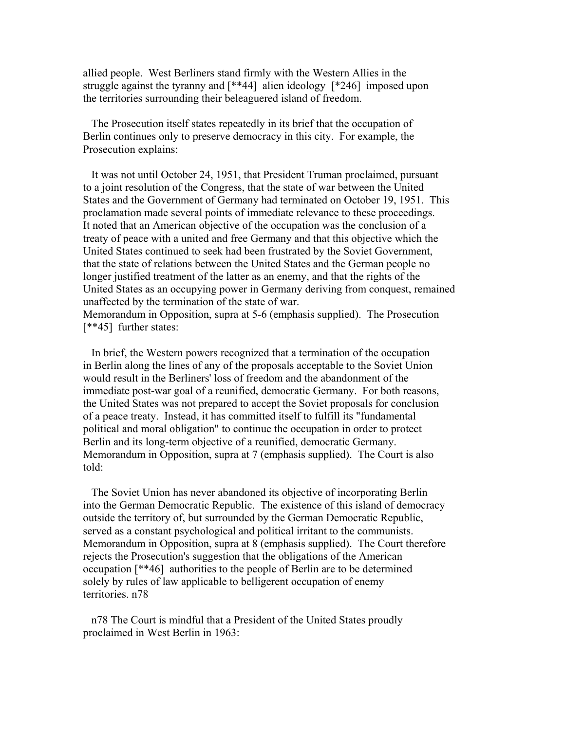allied people. West Berliners stand firmly with the Western Allies in the struggle against the tyranny and [\*\*44] alien ideology [\*246] imposed upon the territories surrounding their beleaguered island of freedom.

 The Prosecution itself states repeatedly in its brief that the occupation of Berlin continues only to preserve democracy in this city. For example, the Prosecution explains:

 It was not until October 24, 1951, that President Truman proclaimed, pursuant to a joint resolution of the Congress, that the state of war between the United States and the Government of Germany had terminated on October 19, 1951. This proclamation made several points of immediate relevance to these proceedings. It noted that an American objective of the occupation was the conclusion of a treaty of peace with a united and free Germany and that this objective which the United States continued to seek had been frustrated by the Soviet Government, that the state of relations between the United States and the German people no longer justified treatment of the latter as an enemy, and that the rights of the United States as an occupying power in Germany deriving from conquest, remained unaffected by the termination of the state of war. Memorandum in Opposition, supra at 5-6 (emphasis supplied). The Prosecution [\*\*45] further states:

 In brief, the Western powers recognized that a termination of the occupation in Berlin along the lines of any of the proposals acceptable to the Soviet Union would result in the Berliners' loss of freedom and the abandonment of the immediate post-war goal of a reunified, democratic Germany. For both reasons, the United States was not prepared to accept the Soviet proposals for conclusion of a peace treaty. Instead, it has committed itself to fulfill its "fundamental political and moral obligation" to continue the occupation in order to protect Berlin and its long-term objective of a reunified, democratic Germany. Memorandum in Opposition, supra at 7 (emphasis supplied). The Court is also told:

 The Soviet Union has never abandoned its objective of incorporating Berlin into the German Democratic Republic. The existence of this island of democracy outside the territory of, but surrounded by the German Democratic Republic, served as a constant psychological and political irritant to the communists. Memorandum in Opposition, supra at 8 (emphasis supplied). The Court therefore rejects the Prosecution's suggestion that the obligations of the American occupation [\*\*46] authorities to the people of Berlin are to be determined solely by rules of law applicable to belligerent occupation of enemy territories. n78

 n78 The Court is mindful that a President of the United States proudly proclaimed in West Berlin in 1963: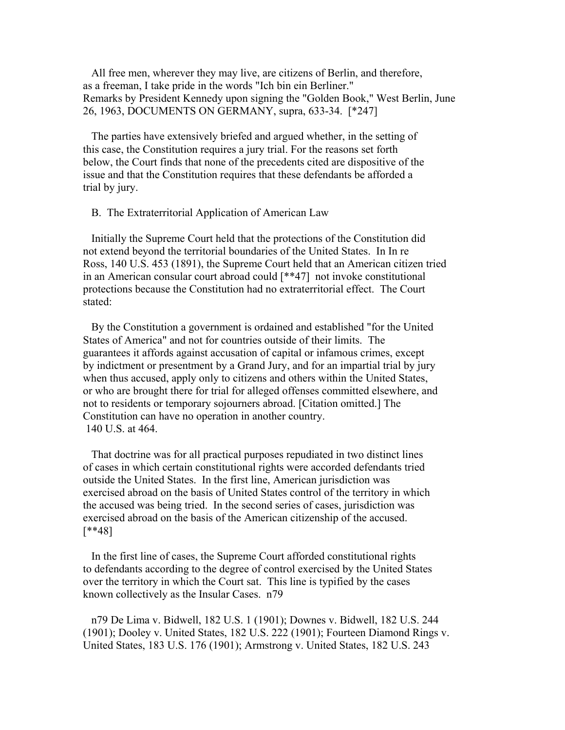All free men, wherever they may live, are citizens of Berlin, and therefore, as a freeman, I take pride in the words "Ich bin ein Berliner." Remarks by President Kennedy upon signing the "Golden Book," West Berlin, June 26, 1963, DOCUMENTS ON GERMANY, supra, 633-34. [\*247]

 The parties have extensively briefed and argued whether, in the setting of this case, the Constitution requires a jury trial. For the reasons set forth below, the Court finds that none of the precedents cited are dispositive of the issue and that the Constitution requires that these defendants be afforded a trial by jury.

B. The Extraterritorial Application of American Law

 Initially the Supreme Court held that the protections of the Constitution did not extend beyond the territorial boundaries of the United States. In In re Ross, 140 U.S. 453 (1891), the Supreme Court held that an American citizen tried in an American consular court abroad could [\*\*47] not invoke constitutional protections because the Constitution had no extraterritorial effect. The Court stated:

 By the Constitution a government is ordained and established "for the United States of America" and not for countries outside of their limits. The guarantees it affords against accusation of capital or infamous crimes, except by indictment or presentment by a Grand Jury, and for an impartial trial by jury when thus accused, apply only to citizens and others within the United States, or who are brought there for trial for alleged offenses committed elsewhere, and not to residents or temporary sojourners abroad. [Citation omitted.] The Constitution can have no operation in another country. 140 U.S. at 464.

 That doctrine was for all practical purposes repudiated in two distinct lines of cases in which certain constitutional rights were accorded defendants tried outside the United States. In the first line, American jurisdiction was exercised abroad on the basis of United States control of the territory in which the accused was being tried. In the second series of cases, jurisdiction was exercised abroad on the basis of the American citizenship of the accused. [\*\*48]

 In the first line of cases, the Supreme Court afforded constitutional rights to defendants according to the degree of control exercised by the United States over the territory in which the Court sat. This line is typified by the cases known collectively as the Insular Cases. n79

 n79 De Lima v. Bidwell, 182 U.S. 1 (1901); Downes v. Bidwell, 182 U.S. 244 (1901); Dooley v. United States, 182 U.S. 222 (1901); Fourteen Diamond Rings v. United States, 183 U.S. 176 (1901); Armstrong v. United States, 182 U.S. 243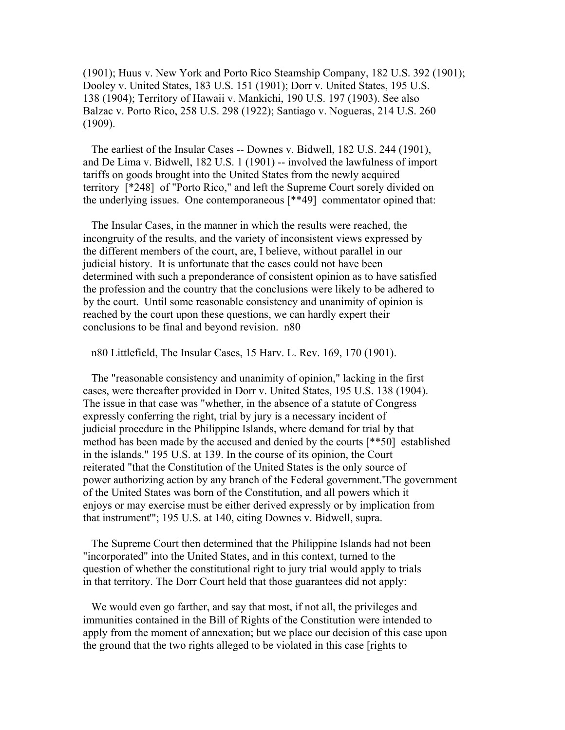(1901); Huus v. New York and Porto Rico Steamship Company, 182 U.S. 392 (1901); Dooley v. United States, 183 U.S. 151 (1901); Dorr v. United States, 195 U.S. 138 (1904); Territory of Hawaii v. Mankichi, 190 U.S. 197 (1903). See also Balzac v. Porto Rico, 258 U.S. 298 (1922); Santiago v. Nogueras, 214 U.S. 260 (1909).

 The earliest of the Insular Cases -- Downes v. Bidwell, 182 U.S. 244 (1901), and De Lima v. Bidwell, 182 U.S. 1 (1901) -- involved the lawfulness of import tariffs on goods brought into the United States from the newly acquired territory [\*248] of "Porto Rico," and left the Supreme Court sorely divided on the underlying issues. One contemporaneous [\*\*49] commentator opined that:

 The Insular Cases, in the manner in which the results were reached, the incongruity of the results, and the variety of inconsistent views expressed by the different members of the court, are, I believe, without parallel in our judicial history. It is unfortunate that the cases could not have been determined with such a preponderance of consistent opinion as to have satisfied the profession and the country that the conclusions were likely to be adhered to by the court. Until some reasonable consistency and unanimity of opinion is reached by the court upon these questions, we can hardly expert their conclusions to be final and beyond revision. n80

n80 Littlefield, The Insular Cases, 15 Harv. L. Rev. 169, 170 (1901).

 The "reasonable consistency and unanimity of opinion," lacking in the first cases, were thereafter provided in Dorr v. United States, 195 U.S. 138 (1904). The issue in that case was "whether, in the absence of a statute of Congress expressly conferring the right, trial by jury is a necessary incident of judicial procedure in the Philippine Islands, where demand for trial by that method has been made by the accused and denied by the courts [\*\*50] established in the islands." 195 U.S. at 139. In the course of its opinion, the Court reiterated "that the Constitution of the United States is the only source of power authorizing action by any branch of the Federal government.'The government of the United States was born of the Constitution, and all powers which it enjoys or may exercise must be either derived expressly or by implication from that instrument'"; 195 U.S. at 140, citing Downes v. Bidwell, supra.

 The Supreme Court then determined that the Philippine Islands had not been "incorporated" into the United States, and in this context, turned to the question of whether the constitutional right to jury trial would apply to trials in that territory. The Dorr Court held that those guarantees did not apply:

 We would even go farther, and say that most, if not all, the privileges and immunities contained in the Bill of Rights of the Constitution were intended to apply from the moment of annexation; but we place our decision of this case upon the ground that the two rights alleged to be violated in this case [rights to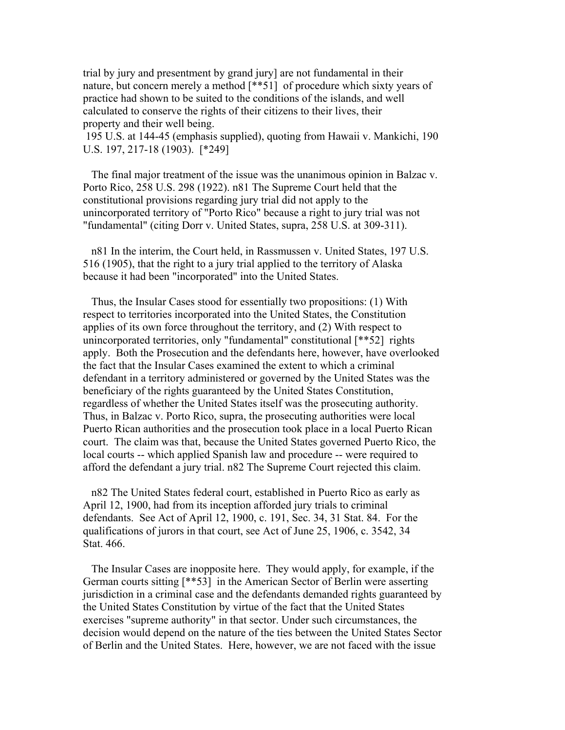trial by jury and presentment by grand jury] are not fundamental in their nature, but concern merely a method [\*\*51] of procedure which sixty years of practice had shown to be suited to the conditions of the islands, and well calculated to conserve the rights of their citizens to their lives, their property and their well being.

 195 U.S. at 144-45 (emphasis supplied), quoting from Hawaii v. Mankichi, 190 U.S. 197, 217-18 (1903). [\*249]

 The final major treatment of the issue was the unanimous opinion in Balzac v. Porto Rico, 258 U.S. 298 (1922). n81 The Supreme Court held that the constitutional provisions regarding jury trial did not apply to the unincorporated territory of "Porto Rico" because a right to jury trial was not "fundamental" (citing Dorr v. United States, supra, 258 U.S. at 309-311).

 n81 In the interim, the Court held, in Rassmussen v. United States, 197 U.S. 516 (1905), that the right to a jury trial applied to the territory of Alaska because it had been "incorporated" into the United States.

 Thus, the Insular Cases stood for essentially two propositions: (1) With respect to territories incorporated into the United States, the Constitution applies of its own force throughout the territory, and (2) With respect to unincorporated territories, only "fundamental" constitutional [\*\*52] rights apply. Both the Prosecution and the defendants here, however, have overlooked the fact that the Insular Cases examined the extent to which a criminal defendant in a territory administered or governed by the United States was the beneficiary of the rights guaranteed by the United States Constitution, regardless of whether the United States itself was the prosecuting authority. Thus, in Balzac v. Porto Rico, supra, the prosecuting authorities were local Puerto Rican authorities and the prosecution took place in a local Puerto Rican court. The claim was that, because the United States governed Puerto Rico, the local courts -- which applied Spanish law and procedure -- were required to afford the defendant a jury trial. n82 The Supreme Court rejected this claim.

 n82 The United States federal court, established in Puerto Rico as early as April 12, 1900, had from its inception afforded jury trials to criminal defendants. See Act of April 12, 1900, c. 191, Sec. 34, 31 Stat. 84. For the qualifications of jurors in that court, see Act of June 25, 1906, c. 3542, 34 Stat. 466.

 The Insular Cases are inopposite here. They would apply, for example, if the German courts sitting [\*\*53] in the American Sector of Berlin were asserting jurisdiction in a criminal case and the defendants demanded rights guaranteed by the United States Constitution by virtue of the fact that the United States exercises "supreme authority" in that sector. Under such circumstances, the decision would depend on the nature of the ties between the United States Sector of Berlin and the United States. Here, however, we are not faced with the issue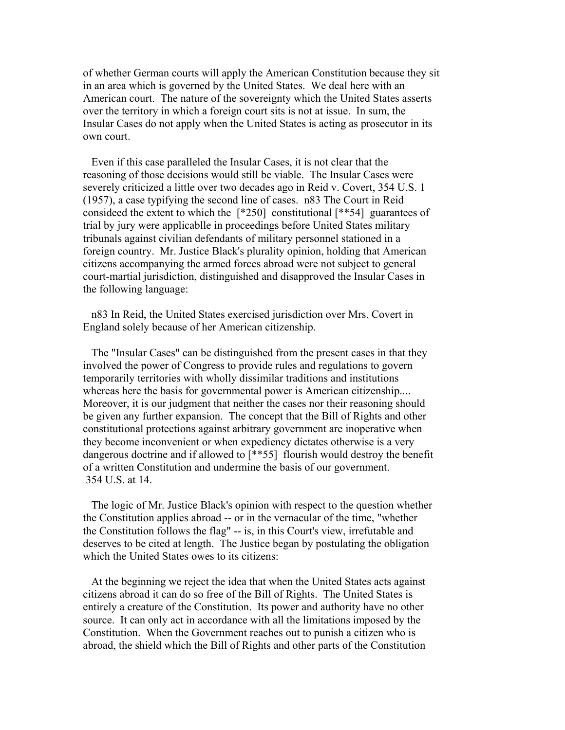of whether German courts will apply the American Constitution because they sit in an area which is governed by the United States. We deal here with an American court. The nature of the sovereignty which the United States asserts over the territory in which a foreign court sits is not at issue. In sum, the Insular Cases do not apply when the United States is acting as prosecutor in its own court.

 Even if this case paralleled the Insular Cases, it is not clear that the reasoning of those decisions would still be viable. The Insular Cases were severely criticized a little over two decades ago in Reid v. Covert, 354 U.S. 1 (1957), a case typifying the second line of cases. n83 The Court in Reid consideed the extent to which the  $[*250]$  constitutional  $[**54]$  guarantees of trial by jury were applicablle in proceedings before United States military tribunals against civilian defendants of military personnel stationed in a foreign country. Mr. Justice Black's plurality opinion, holding that American citizens accompanying the armed forces abroad were not subject to general court-martial jurisdiction, distinguished and disapproved the Insular Cases in the following language:

 n83 In Reid, the United States exercised jurisdiction over Mrs. Covert in England solely because of her American citizenship.

 The "Insular Cases" can be distinguished from the present cases in that they involved the power of Congress to provide rules and regulations to govern temporarily territories with wholly dissimilar traditions and institutions whereas here the basis for governmental power is American citizenship.... Moreover, it is our judgment that neither the cases nor their reasoning should be given any further expansion. The concept that the Bill of Rights and other constitutional protections against arbitrary government are inoperative when they become inconvenient or when expediency dictates otherwise is a very dangerous doctrine and if allowed to [\*\*55] flourish would destroy the benefit of a written Constitution and undermine the basis of our government. 354 U.S. at 14.

 The logic of Mr. Justice Black's opinion with respect to the question whether the Constitution applies abroad -- or in the vernacular of the time, "whether the Constitution follows the flag" -- is, in this Court's view, irrefutable and deserves to be cited at length. The Justice began by postulating the obligation which the United States owes to its citizens:

 At the beginning we reject the idea that when the United States acts against citizens abroad it can do so free of the Bill of Rights. The United States is entirely a creature of the Constitution. Its power and authority have no other source. It can only act in accordance with all the limitations imposed by the Constitution. When the Government reaches out to punish a citizen who is abroad, the shield which the Bill of Rights and other parts of the Constitution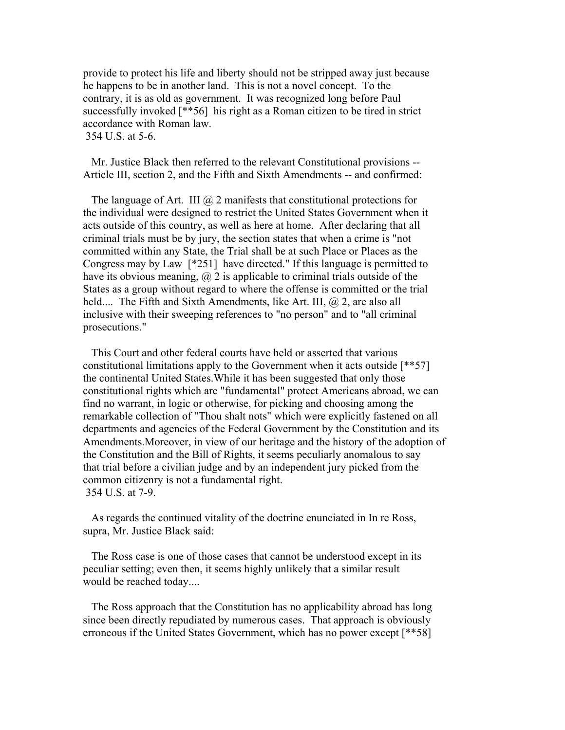provide to protect his life and liberty should not be stripped away just because he happens to be in another land. This is not a novel concept. To the contrary, it is as old as government. It was recognized long before Paul successfully invoked [\*\*56] his right as a Roman citizen to be tired in strict accordance with Roman law.

354 U.S. at 5-6.

 Mr. Justice Black then referred to the relevant Constitutional provisions -- Article III, section 2, and the Fifth and Sixth Amendments -- and confirmed:

The language of Art. III  $\omega$  2 manifests that constitutional protections for the individual were designed to restrict the United States Government when it acts outside of this country, as well as here at home. After declaring that all criminal trials must be by jury, the section states that when a crime is "not committed within any State, the Trial shall be at such Place or Places as the Congress may by Law [\*251] have directed." If this language is permitted to have its obvious meaning,  $\omega$  2 is applicable to criminal trials outside of the States as a group without regard to where the offense is committed or the trial held.... The Fifth and Sixth Amendments, like Art. III, @ 2, are also all inclusive with their sweeping references to "no person" and to "all criminal prosecutions."

 This Court and other federal courts have held or asserted that various constitutional limitations apply to the Government when it acts outside [\*\*57] the continental United States.While it has been suggested that only those constitutional rights which are "fundamental" protect Americans abroad, we can find no warrant, in logic or otherwise, for picking and choosing among the remarkable collection of "Thou shalt nots" which were explicitly fastened on all departments and agencies of the Federal Government by the Constitution and its Amendments.Moreover, in view of our heritage and the history of the adoption of the Constitution and the Bill of Rights, it seems peculiarly anomalous to say that trial before a civilian judge and by an independent jury picked from the common citizenry is not a fundamental right. 354 U.S. at 7-9.

 As regards the continued vitality of the doctrine enunciated in In re Ross, supra, Mr. Justice Black said:

 The Ross case is one of those cases that cannot be understood except in its peculiar setting; even then, it seems highly unlikely that a similar result would be reached today....

 The Ross approach that the Constitution has no applicability abroad has long since been directly repudiated by numerous cases. That approach is obviously erroneous if the United States Government, which has no power except [\*\*58]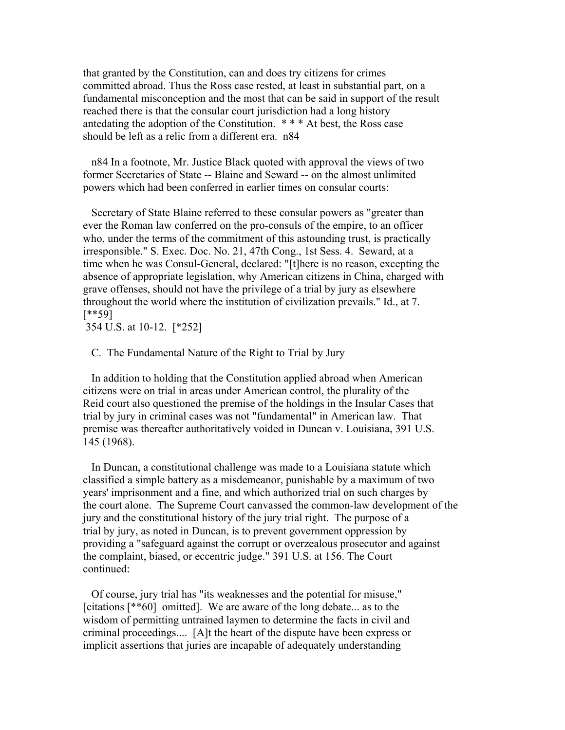that granted by the Constitution, can and does try citizens for crimes committed abroad. Thus the Ross case rested, at least in substantial part, on a fundamental misconception and the most that can be said in support of the result reached there is that the consular court jurisdiction had a long history antedating the adoption of the Constitution. \* \* \* At best, the Ross case should be left as a relic from a different era. n84

 n84 In a footnote, Mr. Justice Black quoted with approval the views of two former Secretaries of State -- Blaine and Seward -- on the almost unlimited powers which had been conferred in earlier times on consular courts:

 Secretary of State Blaine referred to these consular powers as "greater than ever the Roman law conferred on the pro-consuls of the empire, to an officer who, under the terms of the commitment of this astounding trust, is practically irresponsible." S. Exec. Doc. No. 21, 47th Cong., 1st Sess. 4. Seward, at a time when he was Consul-General, declared: "[t]here is no reason, excepting the absence of appropriate legislation, why American citizens in China, charged with grave offenses, should not have the privilege of a trial by jury as elsewhere throughout the world where the institution of civilization prevails." Id., at 7. [\*\*59]

354 U.S. at 10-12. [\*252]

#### C. The Fundamental Nature of the Right to Trial by Jury

 In addition to holding that the Constitution applied abroad when American citizens were on trial in areas under American control, the plurality of the Reid court also questioned the premise of the holdings in the Insular Cases that trial by jury in criminal cases was not "fundamental" in American law. That premise was thereafter authoritatively voided in Duncan v. Louisiana, 391 U.S. 145 (1968).

 In Duncan, a constitutional challenge was made to a Louisiana statute which classified a simple battery as a misdemeanor, punishable by a maximum of two years' imprisonment and a fine, and which authorized trial on such charges by the court alone. The Supreme Court canvassed the common-law development of the jury and the constitutional history of the jury trial right. The purpose of a trial by jury, as noted in Duncan, is to prevent government oppression by providing a "safeguard against the corrupt or overzealous prosecutor and against the complaint, biased, or eccentric judge." 391 U.S. at 156. The Court continued:

 Of course, jury trial has "its weaknesses and the potential for misuse," [citations [\*\*60] omitted]. We are aware of the long debate... as to the wisdom of permitting untrained laymen to determine the facts in civil and criminal proceedings.... [A]t the heart of the dispute have been express or implicit assertions that juries are incapable of adequately understanding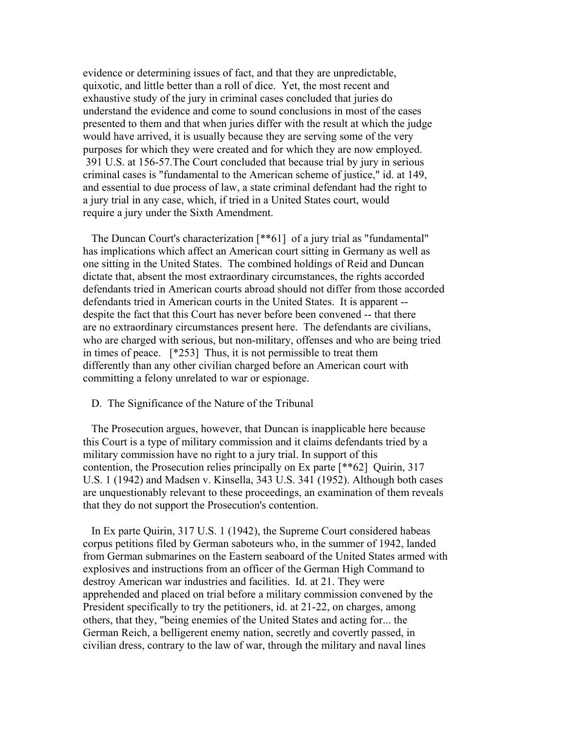evidence or determining issues of fact, and that they are unpredictable, quixotic, and little better than a roll of dice. Yet, the most recent and exhaustive study of the jury in criminal cases concluded that juries do understand the evidence and come to sound conclusions in most of the cases presented to them and that when juries differ with the result at which the judge would have arrived, it is usually because they are serving some of the very purposes for which they were created and for which they are now employed. 391 U.S. at 156-57.The Court concluded that because trial by jury in serious criminal cases is "fundamental to the American scheme of justice," id. at 149, and essential to due process of law, a state criminal defendant had the right to a jury trial in any case, which, if tried in a United States court, would require a jury under the Sixth Amendment.

 The Duncan Court's characterization [\*\*61] of a jury trial as "fundamental" has implications which affect an American court sitting in Germany as well as one sitting in the United States. The combined holdings of Reid and Duncan dictate that, absent the most extraordinary circumstances, the rights accorded defendants tried in American courts abroad should not differ from those accorded defendants tried in American courts in the United States. It is apparent - despite the fact that this Court has never before been convened -- that there are no extraordinary circumstances present here. The defendants are civilians, who are charged with serious, but non-military, offenses and who are being tried in times of peace. [\*253] Thus, it is not permissible to treat them differently than any other civilian charged before an American court with committing a felony unrelated to war or espionage.

### D. The Significance of the Nature of the Tribunal

 The Prosecution argues, however, that Duncan is inapplicable here because this Court is a type of military commission and it claims defendants tried by a military commission have no right to a jury trial. In support of this contention, the Prosecution relies principally on Ex parte [\*\*62] Quirin, 317 U.S. 1 (1942) and Madsen v. Kinsella, 343 U.S. 341 (1952). Although both cases are unquestionably relevant to these proceedings, an examination of them reveals that they do not support the Prosecution's contention.

 In Ex parte Quirin, 317 U.S. 1 (1942), the Supreme Court considered habeas corpus petitions filed by German saboteurs who, in the summer of 1942, landed from German submarines on the Eastern seaboard of the United States armed with explosives and instructions from an officer of the German High Command to destroy American war industries and facilities. Id. at 21. They were apprehended and placed on trial before a military commission convened by the President specifically to try the petitioners, id. at 21-22, on charges, among others, that they, "being enemies of the United States and acting for... the German Reich, a belligerent enemy nation, secretly and covertly passed, in civilian dress, contrary to the law of war, through the military and naval lines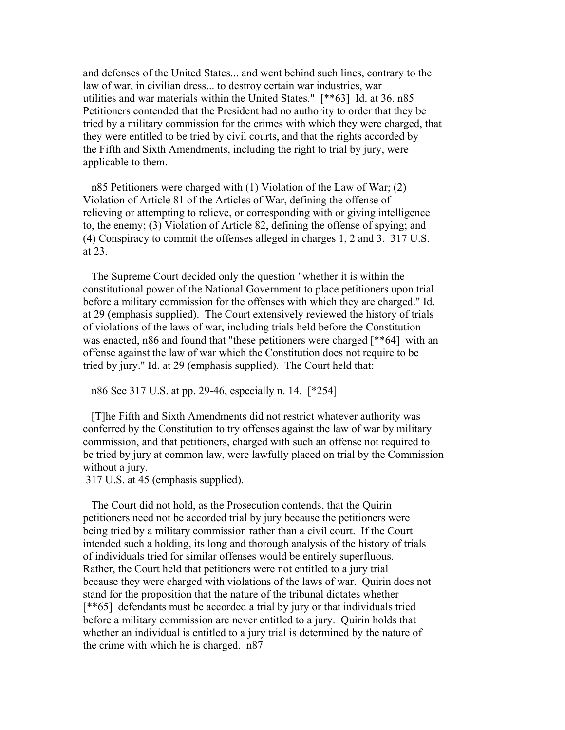and defenses of the United States... and went behind such lines, contrary to the law of war, in civilian dress... to destroy certain war industries, war utilities and war materials within the United States." [\*\*63] Id. at 36. n85 Petitioners contended that the President had no authority to order that they be tried by a military commission for the crimes with which they were charged, that they were entitled to be tried by civil courts, and that the rights accorded by the Fifth and Sixth Amendments, including the right to trial by jury, were applicable to them.

 n85 Petitioners were charged with (1) Violation of the Law of War; (2) Violation of Article 81 of the Articles of War, defining the offense of relieving or attempting to relieve, or corresponding with or giving intelligence to, the enemy; (3) Violation of Article 82, defining the offense of spying; and (4) Conspiracy to commit the offenses alleged in charges 1, 2 and 3. 317 U.S. at 23.

 The Supreme Court decided only the question "whether it is within the constitutional power of the National Government to place petitioners upon trial before a military commission for the offenses with which they are charged." Id. at 29 (emphasis supplied). The Court extensively reviewed the history of trials of violations of the laws of war, including trials held before the Constitution was enacted, n86 and found that "these petitioners were charged [\*\*64] with an offense against the law of war which the Constitution does not require to be tried by jury." Id. at 29 (emphasis supplied). The Court held that:

n86 See 317 U.S. at pp. 29-46, especially n. 14. [\*254]

 [T]he Fifth and Sixth Amendments did not restrict whatever authority was conferred by the Constitution to try offenses against the law of war by military commission, and that petitioners, charged with such an offense not required to be tried by jury at common law, were lawfully placed on trial by the Commission without a jury.

317 U.S. at 45 (emphasis supplied).

 The Court did not hold, as the Prosecution contends, that the Quirin petitioners need not be accorded trial by jury because the petitioners were being tried by a military commission rather than a civil court. If the Court intended such a holding, its long and thorough analysis of the history of trials of individuals tried for similar offenses would be entirely superfluous. Rather, the Court held that petitioners were not entitled to a jury trial because they were charged with violations of the laws of war. Quirin does not stand for the proposition that the nature of the tribunal dictates whether [\*\*65] defendants must be accorded a trial by jury or that individuals tried before a military commission are never entitled to a jury. Quirin holds that whether an individual is entitled to a jury trial is determined by the nature of the crime with which he is charged. n87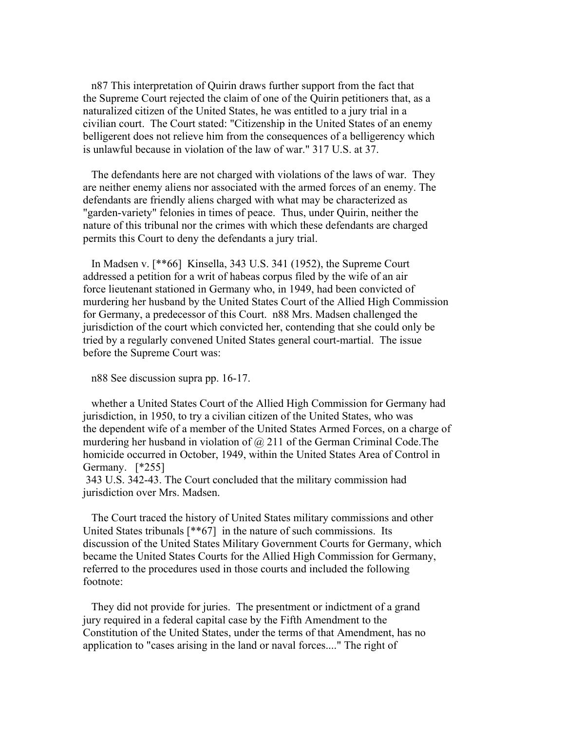n87 This interpretation of Quirin draws further support from the fact that the Supreme Court rejected the claim of one of the Quirin petitioners that, as a naturalized citizen of the United States, he was entitled to a jury trial in a civilian court. The Court stated: "Citizenship in the United States of an enemy belligerent does not relieve him from the consequences of a belligerency which is unlawful because in violation of the law of war." 317 U.S. at 37.

 The defendants here are not charged with violations of the laws of war. They are neither enemy aliens nor associated with the armed forces of an enemy. The defendants are friendly aliens charged with what may be characterized as "garden-variety" felonies in times of peace. Thus, under Quirin, neither the nature of this tribunal nor the crimes with which these defendants are charged permits this Court to deny the defendants a jury trial.

 In Madsen v. [\*\*66] Kinsella, 343 U.S. 341 (1952), the Supreme Court addressed a petition for a writ of habeas corpus filed by the wife of an air force lieutenant stationed in Germany who, in 1949, had been convicted of murdering her husband by the United States Court of the Allied High Commission for Germany, a predecessor of this Court. n88 Mrs. Madsen challenged the jurisdiction of the court which convicted her, contending that she could only be tried by a regularly convened United States general court-martial. The issue before the Supreme Court was:

n88 See discussion supra pp. 16-17.

 whether a United States Court of the Allied High Commission for Germany had jurisdiction, in 1950, to try a civilian citizen of the United States, who was the dependent wife of a member of the United States Armed Forces, on a charge of murdering her husband in violation of  $\omega$  211 of the German Criminal Code. The homicide occurred in October, 1949, within the United States Area of Control in Germany. [\*255]

 343 U.S. 342-43. The Court concluded that the military commission had jurisdiction over Mrs. Madsen.

 The Court traced the history of United States military commissions and other United States tribunals [\*\*67] in the nature of such commissions. Its discussion of the United States Military Government Courts for Germany, which became the United States Courts for the Allied High Commission for Germany, referred to the procedures used in those courts and included the following footnote:

 They did not provide for juries. The presentment or indictment of a grand jury required in a federal capital case by the Fifth Amendment to the Constitution of the United States, under the terms of that Amendment, has no application to "cases arising in the land or naval forces...." The right of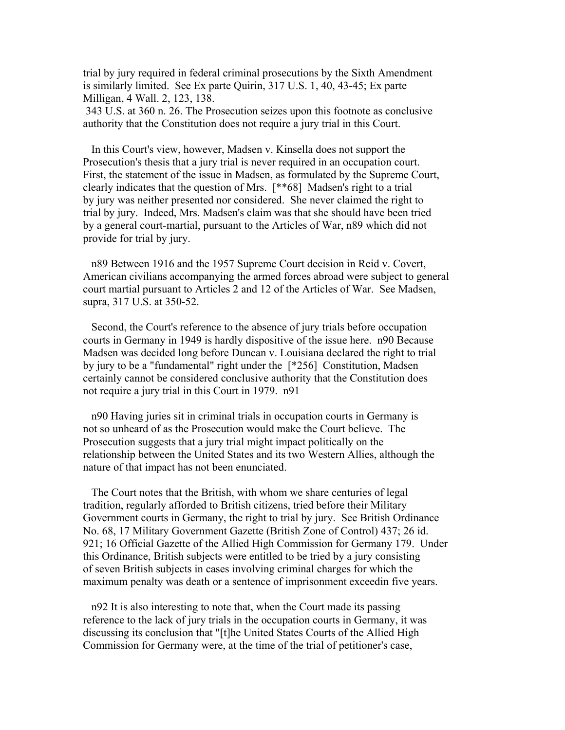trial by jury required in federal criminal prosecutions by the Sixth Amendment is similarly limited. See Ex parte Quirin, 317 U.S. 1, 40, 43-45; Ex parte Milligan, 4 Wall. 2, 123, 138.

 343 U.S. at 360 n. 26. The Prosecution seizes upon this footnote as conclusive authority that the Constitution does not require a jury trial in this Court.

 In this Court's view, however, Madsen v. Kinsella does not support the Prosecution's thesis that a jury trial is never required in an occupation court. First, the statement of the issue in Madsen, as formulated by the Supreme Court, clearly indicates that the question of Mrs. [\*\*68] Madsen's right to a trial by jury was neither presented nor considered. She never claimed the right to trial by jury. Indeed, Mrs. Madsen's claim was that she should have been tried by a general court-martial, pursuant to the Articles of War, n89 which did not provide for trial by jury.

 n89 Between 1916 and the 1957 Supreme Court decision in Reid v. Covert, American civilians accompanying the armed forces abroad were subject to general court martial pursuant to Articles 2 and 12 of the Articles of War. See Madsen, supra, 317 U.S. at 350-52.

 Second, the Court's reference to the absence of jury trials before occupation courts in Germany in 1949 is hardly dispositive of the issue here. n90 Because Madsen was decided long before Duncan v. Louisiana declared the right to trial by jury to be a "fundamental" right under the [\*256] Constitution, Madsen certainly cannot be considered conclusive authority that the Constitution does not require a jury trial in this Court in 1979. n91

 n90 Having juries sit in criminal trials in occupation courts in Germany is not so unheard of as the Prosecution would make the Court believe. The Prosecution suggests that a jury trial might impact politically on the relationship between the United States and its two Western Allies, although the nature of that impact has not been enunciated.

 The Court notes that the British, with whom we share centuries of legal tradition, regularly afforded to British citizens, tried before their Military Government courts in Germany, the right to trial by jury. See British Ordinance No. 68, 17 Military Government Gazette (British Zone of Control) 437; 26 id. 921; 16 Official Gazette of the Allied High Commission for Germany 179. Under this Ordinance, British subjects were entitled to be tried by a jury consisting of seven British subjects in cases involving criminal charges for which the maximum penalty was death or a sentence of imprisonment exceedin five years.

 n92 It is also interesting to note that, when the Court made its passing reference to the lack of jury trials in the occupation courts in Germany, it was discussing its conclusion that "[t]he United States Courts of the Allied High Commission for Germany were, at the time of the trial of petitioner's case,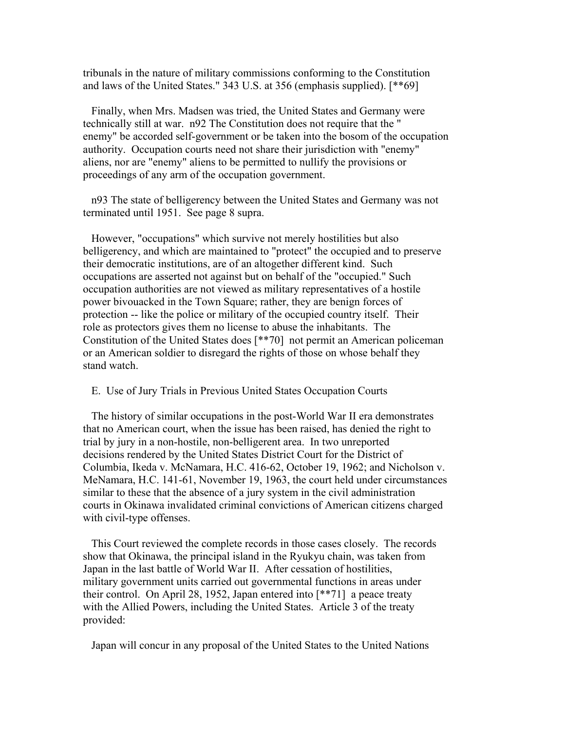tribunals in the nature of military commissions conforming to the Constitution and laws of the United States." 343 U.S. at 356 (emphasis supplied). [\*\*69]

 Finally, when Mrs. Madsen was tried, the United States and Germany were technically still at war. n92 The Constitution does not require that the " enemy" be accorded self-government or be taken into the bosom of the occupation authority. Occupation courts need not share their jurisdiction with "enemy" aliens, nor are "enemy" aliens to be permitted to nullify the provisions or proceedings of any arm of the occupation government.

 n93 The state of belligerency between the United States and Germany was not terminated until 1951. See page 8 supra.

 However, "occupations" which survive not merely hostilities but also belligerency, and which are maintained to "protect" the occupied and to preserve their democratic institutions, are of an altogether different kind. Such occupations are asserted not against but on behalf of the "occupied." Such occupation authorities are not viewed as military representatives of a hostile power bivouacked in the Town Square; rather, they are benign forces of protection -- like the police or military of the occupied country itself. Their role as protectors gives them no license to abuse the inhabitants. The Constitution of the United States does [\*\*70] not permit an American policeman or an American soldier to disregard the rights of those on whose behalf they stand watch.

E. Use of Jury Trials in Previous United States Occupation Courts

 The history of similar occupations in the post-World War II era demonstrates that no American court, when the issue has been raised, has denied the right to trial by jury in a non-hostile, non-belligerent area. In two unreported decisions rendered by the United States District Court for the District of Columbia, Ikeda v. McNamara, H.C. 416-62, October 19, 1962; and Nicholson v. MeNamara, H.C. 141-61, November 19, 1963, the court held under circumstances similar to these that the absence of a jury system in the civil administration courts in Okinawa invalidated criminal convictions of American citizens charged with civil-type offenses.

 This Court reviewed the complete records in those cases closely. The records show that Okinawa, the principal island in the Ryukyu chain, was taken from Japan in the last battle of World War II. After cessation of hostilities, military government units carried out governmental functions in areas under their control. On April 28, 1952, Japan entered into [\*\*71] a peace treaty with the Allied Powers, including the United States. Article 3 of the treaty provided:

Japan will concur in any proposal of the United States to the United Nations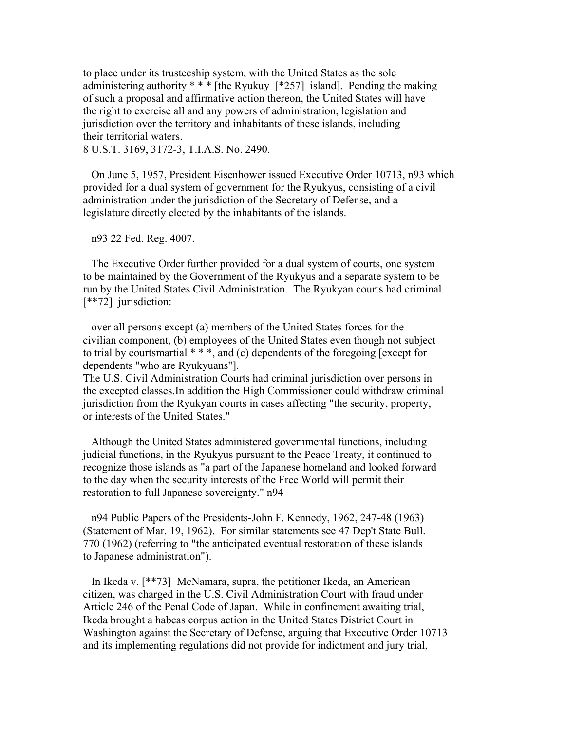to place under its trusteeship system, with the United States as the sole administering authority  $**$  [the Ryukuy [ $*257$ ] island]. Pending the making of such a proposal and affirmative action thereon, the United States will have the right to exercise all and any powers of administration, legislation and jurisdiction over the territory and inhabitants of these islands, including their territorial waters.

8 U.S.T. 3169, 3172-3, T.I.A.S. No. 2490.

 On June 5, 1957, President Eisenhower issued Executive Order 10713, n93 which provided for a dual system of government for the Ryukyus, consisting of a civil administration under the jurisdiction of the Secretary of Defense, and a legislature directly elected by the inhabitants of the islands.

n93 22 Fed. Reg. 4007.

 The Executive Order further provided for a dual system of courts, one system to be maintained by the Government of the Ryukyus and a separate system to be run by the United States Civil Administration. The Ryukyan courts had criminal [\*\*72] jurisdiction:

 over all persons except (a) members of the United States forces for the civilian component, (b) employees of the United States even though not subject to trial by courtsmartial \* \* \*, and (c) dependents of the foregoing [except for dependents "who are Ryukyuans"].

The U.S. Civil Administration Courts had criminal jurisdiction over persons in the excepted classes.In addition the High Commissioner could withdraw criminal jurisdiction from the Ryukyan courts in cases affecting "the security, property, or interests of the United States."

 Although the United States administered governmental functions, including judicial functions, in the Ryukyus pursuant to the Peace Treaty, it continued to recognize those islands as "a part of the Japanese homeland and looked forward to the day when the security interests of the Free World will permit their restoration to full Japanese sovereignty." n94

 n94 Public Papers of the Presidents-John F. Kennedy, 1962, 247-48 (1963) (Statement of Mar. 19, 1962). For similar statements see 47 Dep't State Bull. 770 (1962) (referring to "the anticipated eventual restoration of these islands to Japanese administration").

 In Ikeda v. [\*\*73] McNamara, supra, the petitioner Ikeda, an American citizen, was charged in the U.S. Civil Administration Court with fraud under Article 246 of the Penal Code of Japan. While in confinement awaiting trial, Ikeda brought a habeas corpus action in the United States District Court in Washington against the Secretary of Defense, arguing that Executive Order 10713 and its implementing regulations did not provide for indictment and jury trial,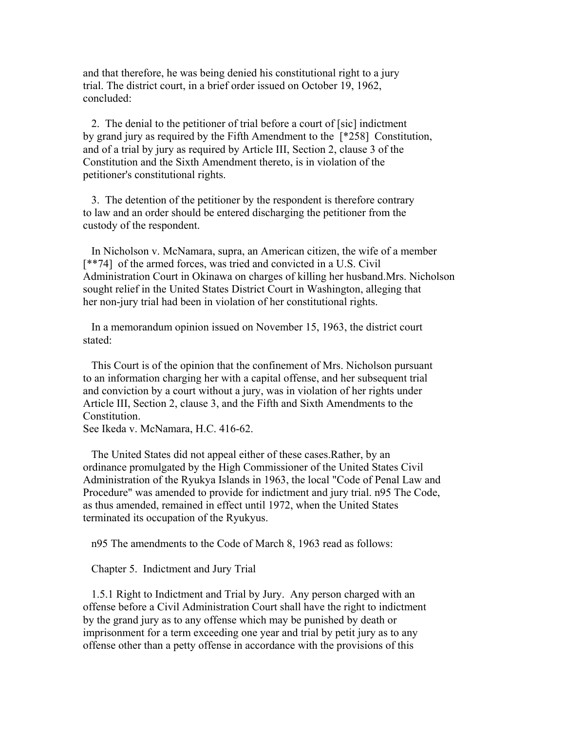and that therefore, he was being denied his constitutional right to a jury trial. The district court, in a brief order issued on October 19, 1962, concluded:

 2. The denial to the petitioner of trial before a court of [sic] indictment by grand jury as required by the Fifth Amendment to the [\*258] Constitution, and of a trial by jury as required by Article III, Section 2, clause 3 of the Constitution and the Sixth Amendment thereto, is in violation of the petitioner's constitutional rights.

 3. The detention of the petitioner by the respondent is therefore contrary to law and an order should be entered discharging the petitioner from the custody of the respondent.

 In Nicholson v. McNamara, supra, an American citizen, the wife of a member [\*\*74] of the armed forces, was tried and convicted in a U.S. Civil Administration Court in Okinawa on charges of killing her husband.Mrs. Nicholson sought relief in the United States District Court in Washington, alleging that her non-jury trial had been in violation of her constitutional rights.

 In a memorandum opinion issued on November 15, 1963, the district court stated:

 This Court is of the opinion that the confinement of Mrs. Nicholson pursuant to an information charging her with a capital offense, and her subsequent trial and conviction by a court without a jury, was in violation of her rights under Article III, Section 2, clause 3, and the Fifth and Sixth Amendments to the Constitution.

See Ikeda v. McNamara, H.C. 416-62.

 The United States did not appeal either of these cases.Rather, by an ordinance promulgated by the High Commissioner of the United States Civil Administration of the Ryukya Islands in 1963, the local "Code of Penal Law and Procedure" was amended to provide for indictment and jury trial. n95 The Code, as thus amended, remained in effect until 1972, when the United States terminated its occupation of the Ryukyus.

n95 The amendments to the Code of March 8, 1963 read as follows:

Chapter 5. Indictment and Jury Trial

 1.5.1 Right to Indictment and Trial by Jury. Any person charged with an offense before a Civil Administration Court shall have the right to indictment by the grand jury as to any offense which may be punished by death or imprisonment for a term exceeding one year and trial by petit jury as to any offense other than a petty offense in accordance with the provisions of this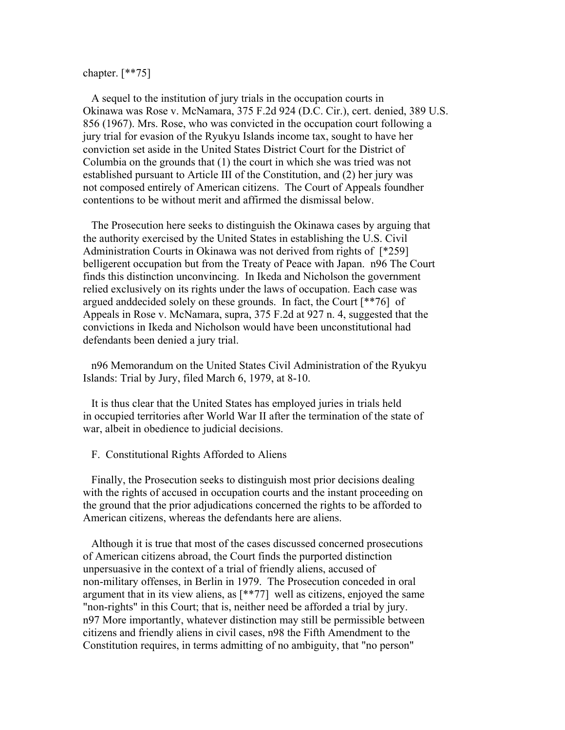### chapter. [\*\*75]

 A sequel to the institution of jury trials in the occupation courts in Okinawa was Rose v. McNamara, 375 F.2d 924 (D.C. Cir.), cert. denied, 389 U.S. 856 (1967). Mrs. Rose, who was convicted in the occupation court following a jury trial for evasion of the Ryukyu Islands income tax, sought to have her conviction set aside in the United States District Court for the District of Columbia on the grounds that (1) the court in which she was tried was not established pursuant to Article III of the Constitution, and (2) her jury was not composed entirely of American citizens. The Court of Appeals foundher contentions to be without merit and affirmed the dismissal below.

 The Prosecution here seeks to distinguish the Okinawa cases by arguing that the authority exercised by the United States in establishing the U.S. Civil Administration Courts in Okinawa was not derived from rights of [\*259] belligerent occupation but from the Treaty of Peace with Japan. n96 The Court finds this distinction unconvincing. In Ikeda and Nicholson the government relied exclusively on its rights under the laws of occupation. Each case was argued anddecided solely on these grounds. In fact, the Court [\*\*76] of Appeals in Rose v. McNamara, supra, 375 F.2d at 927 n. 4, suggested that the convictions in Ikeda and Nicholson would have been unconstitutional had defendants been denied a jury trial.

 n96 Memorandum on the United States Civil Administration of the Ryukyu Islands: Trial by Jury, filed March 6, 1979, at 8-10.

 It is thus clear that the United States has employed juries in trials held in occupied territories after World War II after the termination of the state of war, albeit in obedience to judicial decisions.

#### F. Constitutional Rights Afforded to Aliens

 Finally, the Prosecution seeks to distinguish most prior decisions dealing with the rights of accused in occupation courts and the instant proceeding on the ground that the prior adjudications concerned the rights to be afforded to American citizens, whereas the defendants here are aliens.

 Although it is true that most of the cases discussed concerned prosecutions of American citizens abroad, the Court finds the purported distinction unpersuasive in the context of a trial of friendly aliens, accused of non-military offenses, in Berlin in 1979. The Prosecution conceded in oral argument that in its view aliens, as [\*\*77] well as citizens, enjoyed the same "non-rights" in this Court; that is, neither need be afforded a trial by jury. n97 More importantly, whatever distinction may still be permissible between citizens and friendly aliens in civil cases, n98 the Fifth Amendment to the Constitution requires, in terms admitting of no ambiguity, that "no person"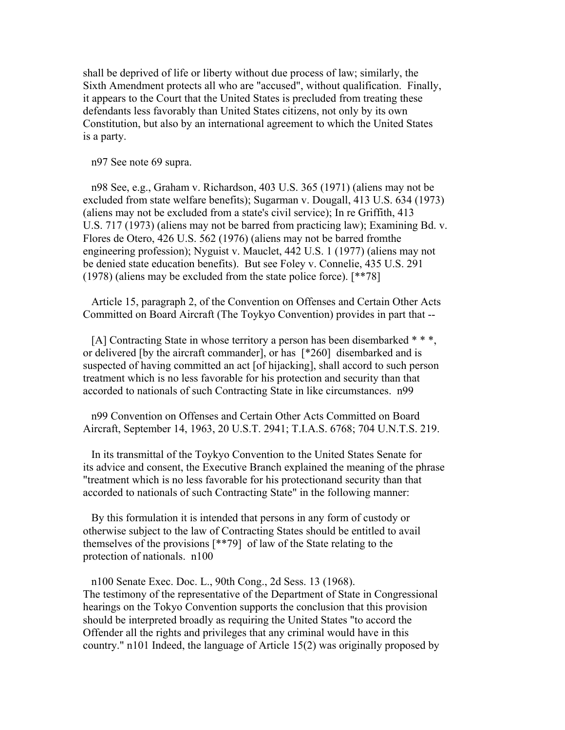shall be deprived of life or liberty without due process of law; similarly, the Sixth Amendment protects all who are "accused", without qualification. Finally, it appears to the Court that the United States is precluded from treating these defendants less favorably than United States citizens, not only by its own Constitution, but also by an international agreement to which the United States is a party.

n97 See note 69 supra.

 n98 See, e.g., Graham v. Richardson, 403 U.S. 365 (1971) (aliens may not be excluded from state welfare benefits); Sugarman v. Dougall, 413 U.S. 634 (1973) (aliens may not be excluded from a state's civil service); In re Griffith, 413 U.S. 717 (1973) (aliens may not be barred from practicing law); Examining Bd. v. Flores de Otero, 426 U.S. 562 (1976) (aliens may not be barred fromthe engineering profession); Nyguist v. Mauclet, 442 U.S. 1 (1977) (aliens may not be denied state education benefits). But see Foley v. Connelie, 435 U.S. 291 (1978) (aliens may be excluded from the state police force).  $[**78]$ 

 Article 15, paragraph 2, of the Convention on Offenses and Certain Other Acts Committed on Board Aircraft (The Toykyo Convention) provides in part that --

 [A] Contracting State in whose territory a person has been disembarked \* \* \*, or delivered [by the aircraft commander], or has [\*260] disembarked and is suspected of having committed an act [of hijacking], shall accord to such person treatment which is no less favorable for his protection and security than that accorded to nationals of such Contracting State in like circumstances. n99

 n99 Convention on Offenses and Certain Other Acts Committed on Board Aircraft, September 14, 1963, 20 U.S.T. 2941; T.I.A.S. 6768; 704 U.N.T.S. 219.

 In its transmittal of the Toykyo Convention to the United States Senate for its advice and consent, the Executive Branch explained the meaning of the phrase "treatment which is no less favorable for his protectionand security than that accorded to nationals of such Contracting State" in the following manner:

 By this formulation it is intended that persons in any form of custody or otherwise subject to the law of Contracting States should be entitled to avail themselves of the provisions [\*\*79] of law of the State relating to the protection of nationals. n100

 n100 Senate Exec. Doc. L., 90th Cong., 2d Sess. 13 (1968). The testimony of the representative of the Department of State in Congressional hearings on the Tokyo Convention supports the conclusion that this provision should be interpreted broadly as requiring the United States "to accord the Offender all the rights and privileges that any criminal would have in this country." n101 Indeed, the language of Article 15(2) was originally proposed by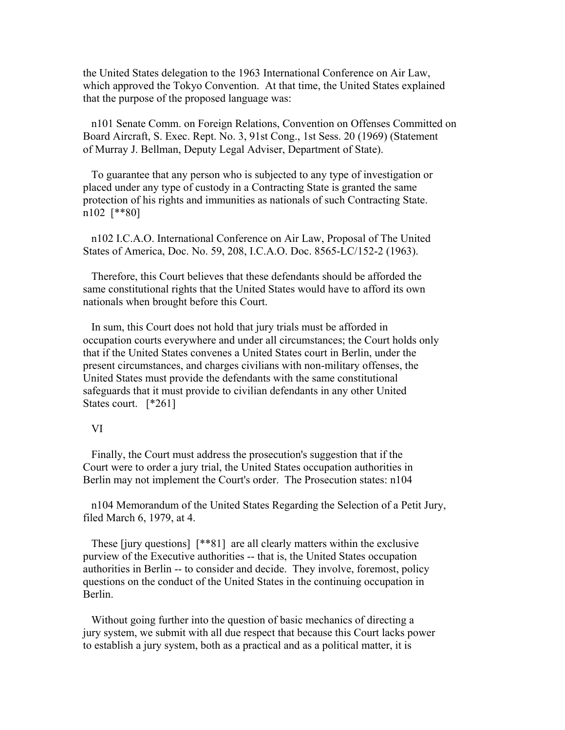the United States delegation to the 1963 International Conference on Air Law, which approved the Tokyo Convention. At that time, the United States explained that the purpose of the proposed language was:

 n101 Senate Comm. on Foreign Relations, Convention on Offenses Committed on Board Aircraft, S. Exec. Rept. No. 3, 91st Cong., 1st Sess. 20 (1969) (Statement of Murray J. Bellman, Deputy Legal Adviser, Department of State).

 To guarantee that any person who is subjected to any type of investigation or placed under any type of custody in a Contracting State is granted the same protection of his rights and immunities as nationals of such Contracting State. n102 [\*\*80]

 n102 I.C.A.O. International Conference on Air Law, Proposal of The United States of America, Doc. No. 59, 208, I.C.A.O. Doc. 8565-LC/152-2 (1963).

 Therefore, this Court believes that these defendants should be afforded the same constitutional rights that the United States would have to afford its own nationals when brought before this Court.

 In sum, this Court does not hold that jury trials must be afforded in occupation courts everywhere and under all circumstances; the Court holds only that if the United States convenes a United States court in Berlin, under the present circumstances, and charges civilians with non-military offenses, the United States must provide the defendants with the same constitutional safeguards that it must provide to civilian defendants in any other United States court. [\*261]

#### VI

 Finally, the Court must address the prosecution's suggestion that if the Court were to order a jury trial, the United States occupation authorities in Berlin may not implement the Court's order. The Prosecution states: n104

 n104 Memorandum of the United States Regarding the Selection of a Petit Jury, filed March 6, 1979, at 4.

 These [jury questions] [\*\*81] are all clearly matters within the exclusive purview of the Executive authorities -- that is, the United States occupation authorities in Berlin -- to consider and decide. They involve, foremost, policy questions on the conduct of the United States in the continuing occupation in Berlin.

 Without going further into the question of basic mechanics of directing a jury system, we submit with all due respect that because this Court lacks power to establish a jury system, both as a practical and as a political matter, it is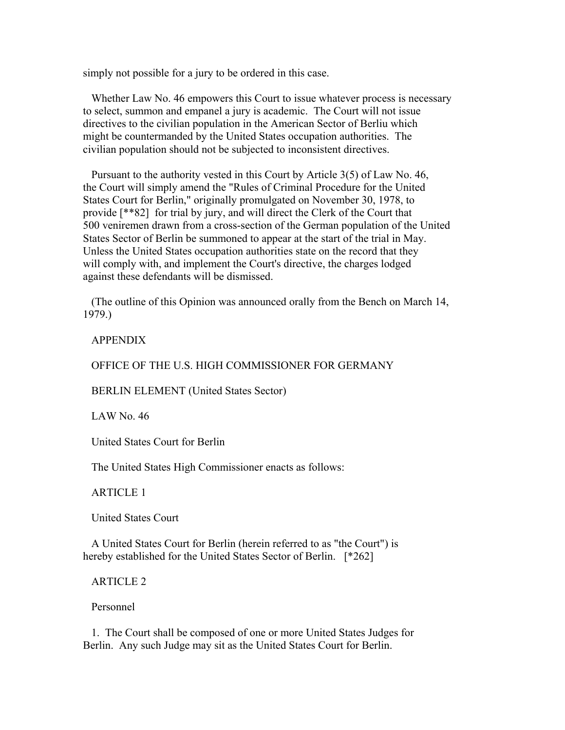simply not possible for a jury to be ordered in this case.

 Whether Law No. 46 empowers this Court to issue whatever process is necessary to select, summon and empanel a jury is academic. The Court will not issue directives to the civilian population in the American Sector of Berliu which might be countermanded by the United States occupation authorities. The civilian population should not be subjected to inconsistent directives.

 Pursuant to the authority vested in this Court by Article 3(5) of Law No. 46, the Court will simply amend the "Rules of Criminal Procedure for the United States Court for Berlin," originally promulgated on November 30, 1978, to provide [\*\*82] for trial by jury, and will direct the Clerk of the Court that 500 veniremen drawn from a cross-section of the German population of the United States Sector of Berlin be summoned to appear at the start of the trial in May. Unless the United States occupation authorities state on the record that they will comply with, and implement the Court's directive, the charges lodged against these defendants will be dismissed.

 (The outline of this Opinion was announced orally from the Bench on March 14, 1979.)

APPENDIX

#### OFFICE OF THE U.S. HIGH COMMISSIONER FOR GERMANY

BERLIN ELEMENT (United States Sector)

LAW No. 46

United States Court for Berlin

The United States High Commissioner enacts as follows:

ARTICLE 1

United States Court

 A United States Court for Berlin (herein referred to as "the Court") is hereby established for the United States Sector of Berlin. [\*262]

ARTICLE 2

Personnel

 1. The Court shall be composed of one or more United States Judges for Berlin. Any such Judge may sit as the United States Court for Berlin.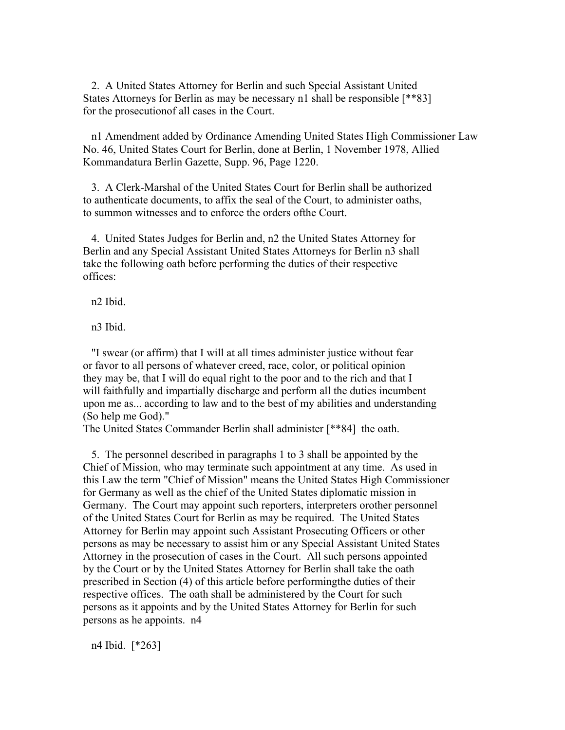2. A United States Attorney for Berlin and such Special Assistant United States Attorneys for Berlin as may be necessary n1 shall be responsible [\*\*83] for the prosecutionof all cases in the Court.

 n1 Amendment added by Ordinance Amending United States High Commissioner Law No. 46, United States Court for Berlin, done at Berlin, 1 November 1978, Allied Kommandatura Berlin Gazette, Supp. 96, Page 1220.

 3. A Clerk-Marshal of the United States Court for Berlin shall be authorized to authenticate documents, to affix the seal of the Court, to administer oaths, to summon witnesses and to enforce the orders ofthe Court.

 4. United States Judges for Berlin and, n2 the United States Attorney for Berlin and any Special Assistant United States Attorneys for Berlin n3 shall take the following oath before performing the duties of their respective offices:

n2 Ibid.

n3 Ibid.

 "I swear (or affirm) that I will at all times administer justice without fear or favor to all persons of whatever creed, race, color, or political opinion they may be, that I will do equal right to the poor and to the rich and that I will faithfully and impartially discharge and perform all the duties incumbent upon me as... according to law and to the best of my abilities and understanding (So help me God)."

The United States Commander Berlin shall administer [\*\*84] the oath.

 5. The personnel described in paragraphs 1 to 3 shall be appointed by the Chief of Mission, who may terminate such appointment at any time. As used in this Law the term "Chief of Mission" means the United States High Commissioner for Germany as well as the chief of the United States diplomatic mission in Germany. The Court may appoint such reporters, interpreters orother personnel of the United States Court for Berlin as may be required. The United States Attorney for Berlin may appoint such Assistant Prosecuting Officers or other persons as may be necessary to assist him or any Special Assistant United States Attorney in the prosecution of cases in the Court. All such persons appointed by the Court or by the United States Attorney for Berlin shall take the oath prescribed in Section (4) of this article before performingthe duties of their respective offices. The oath shall be administered by the Court for such persons as it appoints and by the United States Attorney for Berlin for such persons as he appoints. n4

n4 Ibid. [\*263]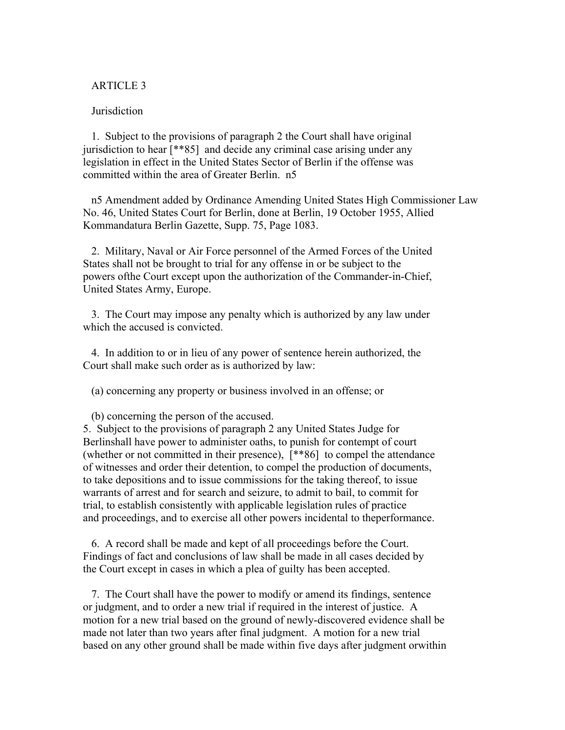## ARTICLE 3

## **Jurisdiction**

 1. Subject to the provisions of paragraph 2 the Court shall have original jurisdiction to hear [\*\*85] and decide any criminal case arising under any legislation in effect in the United States Sector of Berlin if the offense was committed within the area of Greater Berlin. n5

 n5 Amendment added by Ordinance Amending United States High Commissioner Law No. 46, United States Court for Berlin, done at Berlin, 19 October 1955, Allied Kommandatura Berlin Gazette, Supp. 75, Page 1083.

 2. Military, Naval or Air Force personnel of the Armed Forces of the United States shall not be brought to trial for any offense in or be subject to the powers ofthe Court except upon the authorization of the Commander-in-Chief, United States Army, Europe.

 3. The Court may impose any penalty which is authorized by any law under which the accused is convicted.

 4. In addition to or in lieu of any power of sentence herein authorized, the Court shall make such order as is authorized by law:

(a) concerning any property or business involved in an offense; or

(b) concerning the person of the accused.

5. Subject to the provisions of paragraph 2 any United States Judge for Berlinshall have power to administer oaths, to punish for contempt of court (whether or not committed in their presence), [\*\*86] to compel the attendance of witnesses and order their detention, to compel the production of documents, to take depositions and to issue commissions for the taking thereof, to issue warrants of arrest and for search and seizure, to admit to bail, to commit for trial, to establish consistently with applicable legislation rules of practice and proceedings, and to exercise all other powers incidental to theperformance.

 6. A record shall be made and kept of all proceedings before the Court. Findings of fact and conclusions of law shall be made in all cases decided by the Court except in cases in which a plea of guilty has been accepted.

 7. The Court shall have the power to modify or amend its findings, sentence or judgment, and to order a new trial if required in the interest of justice. A motion for a new trial based on the ground of newly-discovered evidence shall be made not later than two years after final judgment. A motion for a new trial based on any other ground shall be made within five days after judgment orwithin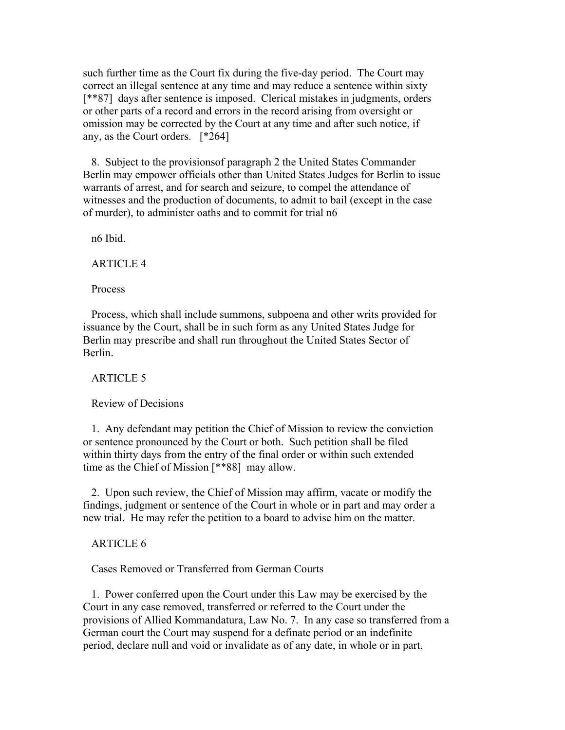such further time as the Court fix during the five-day period. The Court may correct an illegal sentence at any time and may reduce a sentence within sixty [\*\*87] days after sentence is imposed. Clerical mistakes in judgments, orders or other parts of a record and errors in the record arising from oversight or omission may be corrected by the Court at any time and after such notice, if any, as the Court orders. [\*264]

 8. Subject to the provisionsof paragraph 2 the United States Commander Berlin may empower officials other than United States Judges for Berlin to issue warrants of arrest, and for search and seizure, to compel the attendance of witnesses and the production of documents, to admit to bail (except in the case of murder), to administer oaths and to commit for trial n6

n6 Ibid.

ARTICLE 4

Process

 Process, which shall include summons, subpoena and other writs provided for issuance by the Court, shall be in such form as any United States Judge for Berlin may prescribe and shall run throughout the United States Sector of Berlin.

### ARTICLE<sub>5</sub>

#### Review of Decisions

 1. Any defendant may petition the Chief of Mission to review the conviction or sentence pronounced by the Court or both. Such petition shall be filed within thirty days from the entry of the final order or within such extended time as the Chief of Mission [\*\*88] may allow.

 2. Upon such review, the Chief of Mission may affirm, vacate or modify the findings, judgment or sentence of the Court in whole or in part and may order a new trial. He may refer the petition to a board to advise him on the matter.

#### ARTICLE 6

# Cases Removed or Transferred from German Courts

 1. Power conferred upon the Court under this Law may be exercised by the Court in any case removed, transferred or referred to the Court under the provisions of Allied Kommandatura, Law No. 7. In any case so transferred from a German court the Court may suspend for a definate period or an indefinite period, declare null and void or invalidate as of any date, in whole or in part,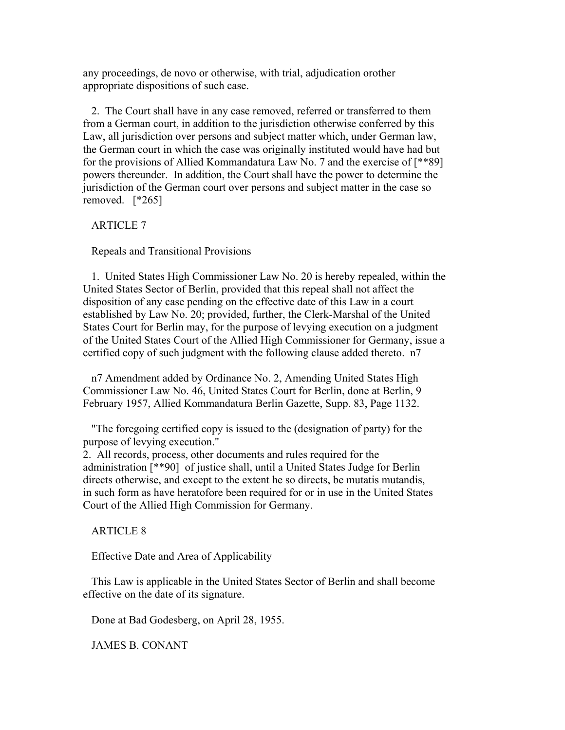any proceedings, de novo or otherwise, with trial, adjudication orother appropriate dispositions of such case.

 2. The Court shall have in any case removed, referred or transferred to them from a German court, in addition to the jurisdiction otherwise conferred by this Law, all jurisdiction over persons and subject matter which, under German law, the German court in which the case was originally instituted would have had but for the provisions of Allied Kommandatura Law No. 7 and the exercise of [\*\*89] powers thereunder. In addition, the Court shall have the power to determine the jurisdiction of the German court over persons and subject matter in the case so removed. [\*265]

ARTICLE 7

Repeals and Transitional Provisions

 1. United States High Commissioner Law No. 20 is hereby repealed, within the United States Sector of Berlin, provided that this repeal shall not affect the disposition of any case pending on the effective date of this Law in a court established by Law No. 20; provided, further, the Clerk-Marshal of the United States Court for Berlin may, for the purpose of levying execution on a judgment of the United States Court of the Allied High Commissioner for Germany, issue a certified copy of such judgment with the following clause added thereto. n7

 n7 Amendment added by Ordinance No. 2, Amending United States High Commissioner Law No. 46, United States Court for Berlin, done at Berlin, 9 February 1957, Allied Kommandatura Berlin Gazette, Supp. 83, Page 1132.

 "The foregoing certified copy is issued to the (designation of party) for the purpose of levying execution."

2. All records, process, other documents and rules required for the administration [\*\*90] of justice shall, until a United States Judge for Berlin directs otherwise, and except to the extent he so directs, be mutatis mutandis, in such form as have heratofore been required for or in use in the United States Court of the Allied High Commission for Germany.

ARTICLE 8

Effective Date and Area of Applicability

 This Law is applicable in the United States Sector of Berlin and shall become effective on the date of its signature.

Done at Bad Godesberg, on April 28, 1955.

JAMES B. CONANT